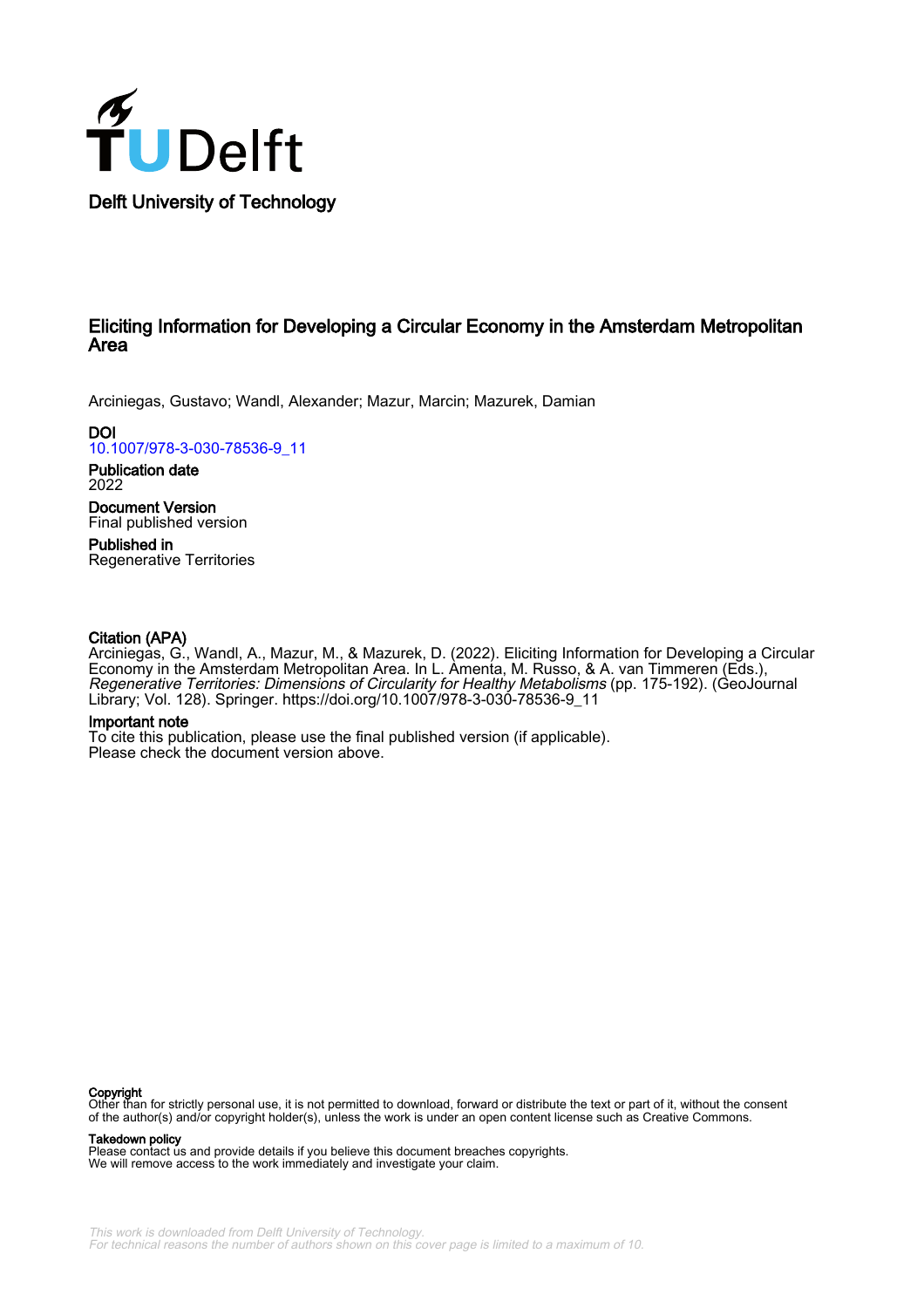

## Eliciting Information for Developing a Circular Economy in the Amsterdam Metropolitan Area

Arciniegas, Gustavo; Wandl, Alexander; Mazur, Marcin; Mazurek, Damian

**DOI** [10.1007/978-3-030-78536-9\\_11](https://doi.org/10.1007/978-3-030-78536-9_11)

Publication date 2022

Document Version Final published version

Published in Regenerative Territories

#### Citation (APA)

Arciniegas, G., Wandl, A., Mazur, M., & Mazurek, D. (2022). Eliciting Information for Developing a Circular Economy in the Amsterdam Metropolitan Area. In L. Amenta, M. Russo, & A. van Timmeren (Eds.), Regenerative Territories: Dimensions of Circularity for Healthy Metabolisms (pp. 175-192). (GeoJournal Library; Vol. 128). Springer. [https://doi.org/10.1007/978-3-030-78536-9\\_11](https://doi.org/10.1007/978-3-030-78536-9_11)

#### Important note

To cite this publication, please use the final published version (if applicable). Please check the document version above.

**Copyright**<br>Other than for strictly personal use, it is not permitted to download, forward or distribute the text or part of it, without the consent of the author(s) and/or copyright holder(s), unless the work is under an open content license such as Creative Commons.

Takedown policy

Please contact us and provide details if you believe this document breaches copyrights. We will remove access to the work immediately and investigate your claim.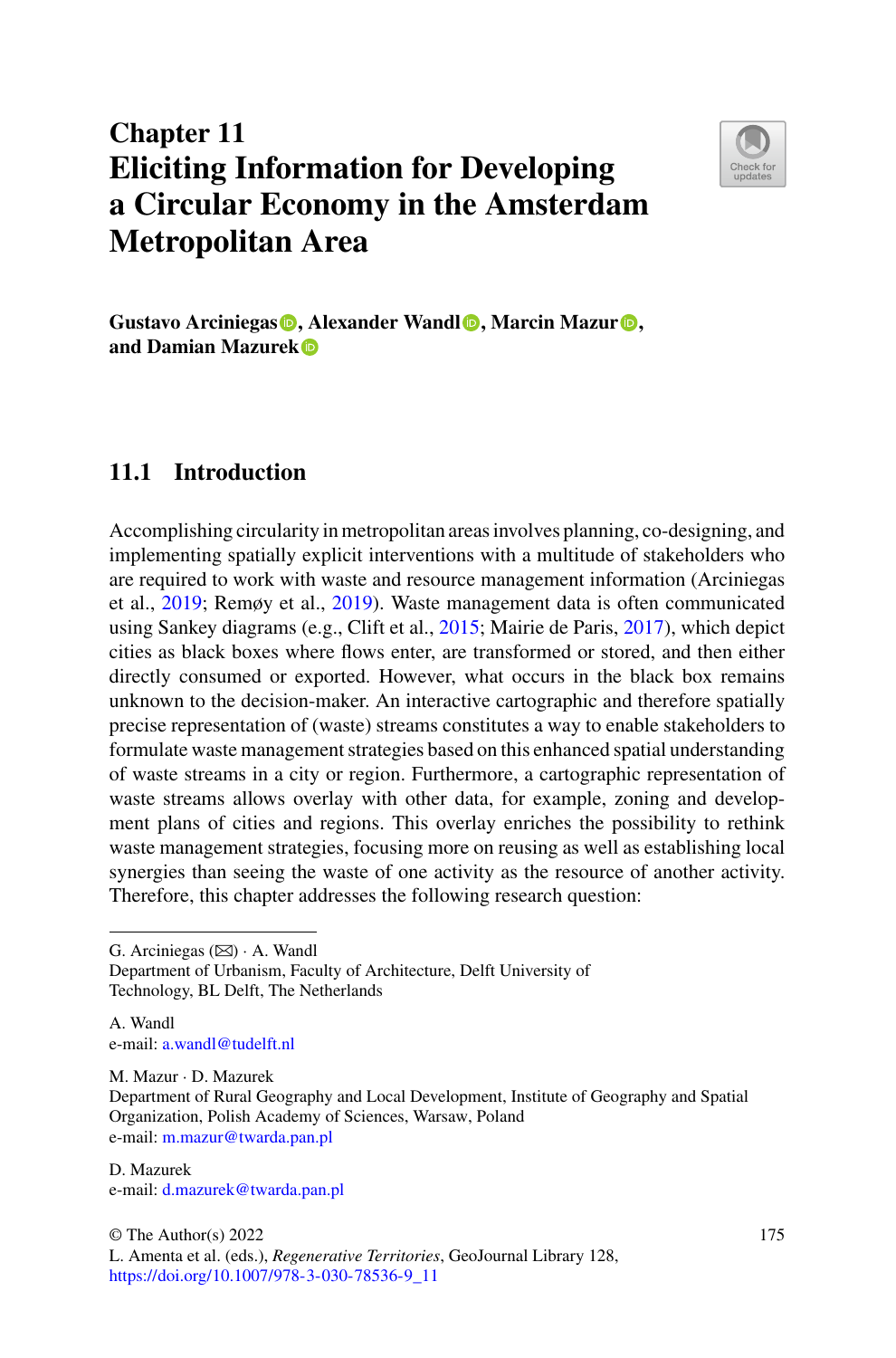# **Chapter 11 Eliciting Information for Developing a Circular Economy in the Amsterdam Metropolitan Area**



**Gustavo Arciniegas [,](https://orcid.org/0000-0002-9211-5467) Alexander Wandl [,](https://orcid.org/0000-0003-1163-0529) Marcin Mazur [,](https://orcid.org/0000-0002-3597-0184) and Damian Mazurek**

### **11.1 Introduction**

Accomplishing circularity in metropolitan areas involves planning, co-designing, and implementing spatially explicit interventions with a multitude of stakeholders who are required to work with waste and resource management information (Arciniegas et al., [2019;](#page-16-0) Remøy et al., [2019\)](#page-18-0). Waste management data is often communicated using Sankey diagrams (e.g., Clift et al., [2015;](#page-16-1) Mairie de Paris, [2017\)](#page-17-0), which depict cities as black boxes where flows enter, are transformed or stored, and then either directly consumed or exported. However, what occurs in the black box remains unknown to the decision-maker. An interactive cartographic and therefore spatially precise representation of (waste) streams constitutes a way to enable stakeholders to formulate waste management strategies based on this enhanced spatial understanding of waste streams in a city or region. Furthermore, a cartographic representation of waste streams allows overlay with other data, for example, zoning and development plans of cities and regions. This overlay enriches the possibility to rethink waste management strategies, focusing more on reusing as well as establishing local synergies than seeing the waste of one activity as the resource of another activity. Therefore, this chapter addresses the following research question:

G. Arciniegas  $(\boxtimes) \cdot$  A. Wandl Department of Urbanism, Faculty of Architecture, Delft University of Technology, BL Delft, The Netherlands

A. Wandl e-mail: [a.wandl@tudelft.nl](mailto:a.wandl@tudelft.nl)

M. Mazur · D. Mazurek

D. Mazurek e-mail: [d.mazurek@twarda.pan.pl](mailto:d.mazurek@twarda.pan.pl)

Department of Rural Geography and Local Development, Institute of Geography and Spatial Organization, Polish Academy of Sciences, Warsaw, Poland e-mail: [m.mazur@twarda.pan.pl](mailto:m.mazur@twarda.pan.pl)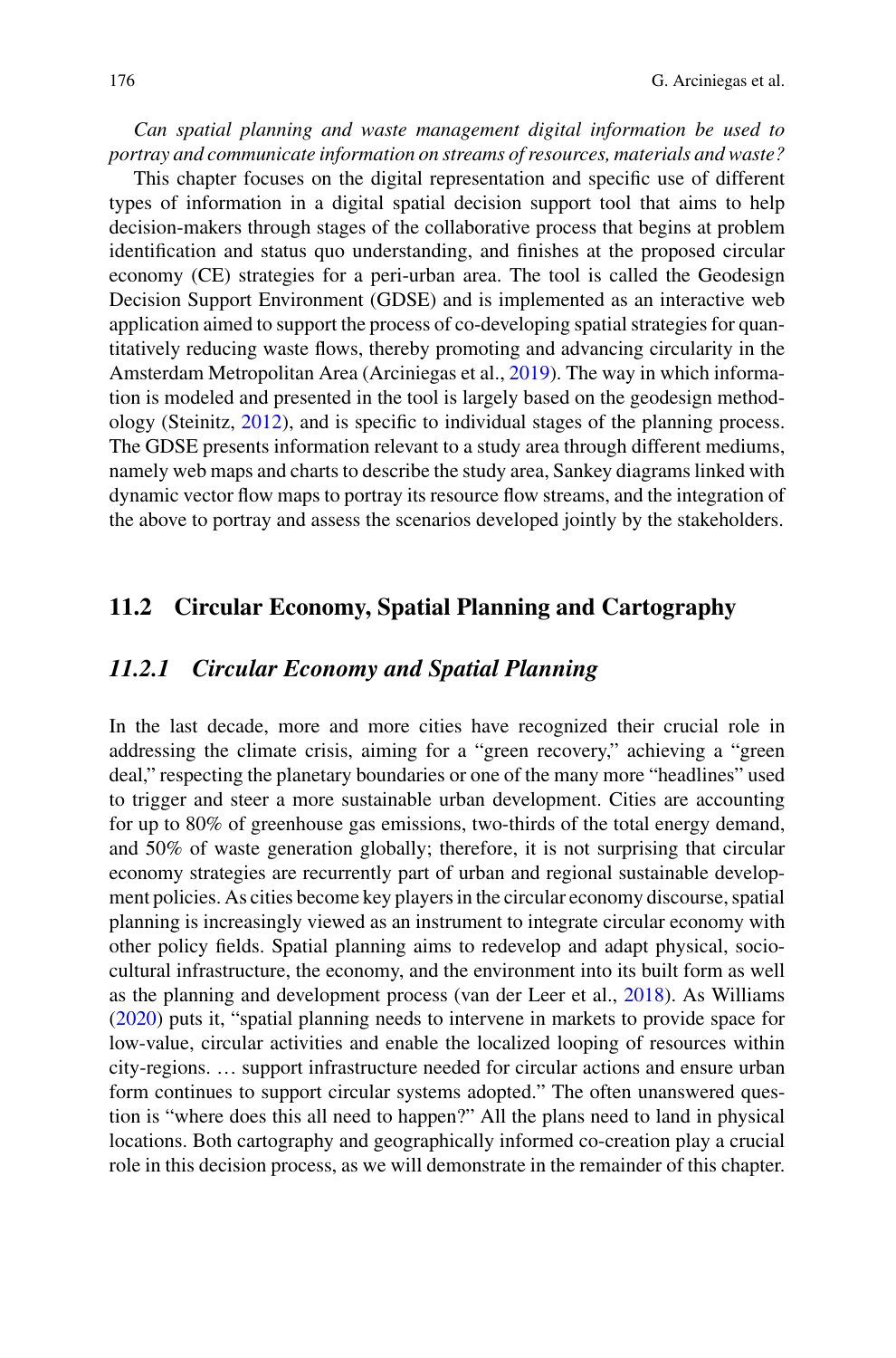*Can spatial planning and waste management digital information be used to portray and communicate information on streams of resources, materials and waste?*

This chapter focuses on the digital representation and specific use of different types of information in a digital spatial decision support tool that aims to help decision-makers through stages of the collaborative process that begins at problem identification and status quo understanding, and finishes at the proposed circular economy (CE) strategies for a peri-urban area. The tool is called the Geodesign Decision Support Environment (GDSE) and is implemented as an interactive web application aimed to support the process of co-developing spatial strategies for quantitatively reducing waste flows, thereby promoting and advancing circularity in the Amsterdam Metropolitan Area (Arciniegas et al., [2019\)](#page-16-0). The way in which information is modeled and presented in the tool is largely based on the geodesign methodology (Steinitz, [2012\)](#page-18-1), and is specific to individual stages of the planning process. The GDSE presents information relevant to a study area through different mediums, namely web maps and charts to describe the study area, Sankey diagrams linked with dynamic vector flow maps to portray its resource flow streams, and the integration of the above to portray and assess the scenarios developed jointly by the stakeholders.

#### **11.2 Circular Economy, Spatial Planning and Cartography**

#### *11.2.1 Circular Economy and Spatial Planning*

In the last decade, more and more cities have recognized their crucial role in addressing the climate crisis, aiming for a "green recovery," achieving a "green deal," respecting the planetary boundaries or one of the many more "headlines" used to trigger and steer a more sustainable urban development. Cities are accounting for up to 80% of greenhouse gas emissions, two-thirds of the total energy demand, and 50% of waste generation globally; therefore, it is not surprising that circular economy strategies are recurrently part of urban and regional sustainable development policies. As cities become key players in the circular economy discourse, spatial planning is increasingly viewed as an instrument to integrate circular economy with other policy fields. Spatial planning aims to redevelop and adapt physical, sociocultural infrastructure, the economy, and the environment into its built form as well as the planning and development process (van der Leer et al., [2018\)](#page-17-1). As Williams [\(2020\)](#page-18-2) puts it, "spatial planning needs to intervene in markets to provide space for low-value, circular activities and enable the localized looping of resources within city-regions. … support infrastructure needed for circular actions and ensure urban form continues to support circular systems adopted." The often unanswered question is "where does this all need to happen?" All the plans need to land in physical locations. Both cartography and geographically informed co-creation play a crucial role in this decision process, as we will demonstrate in the remainder of this chapter.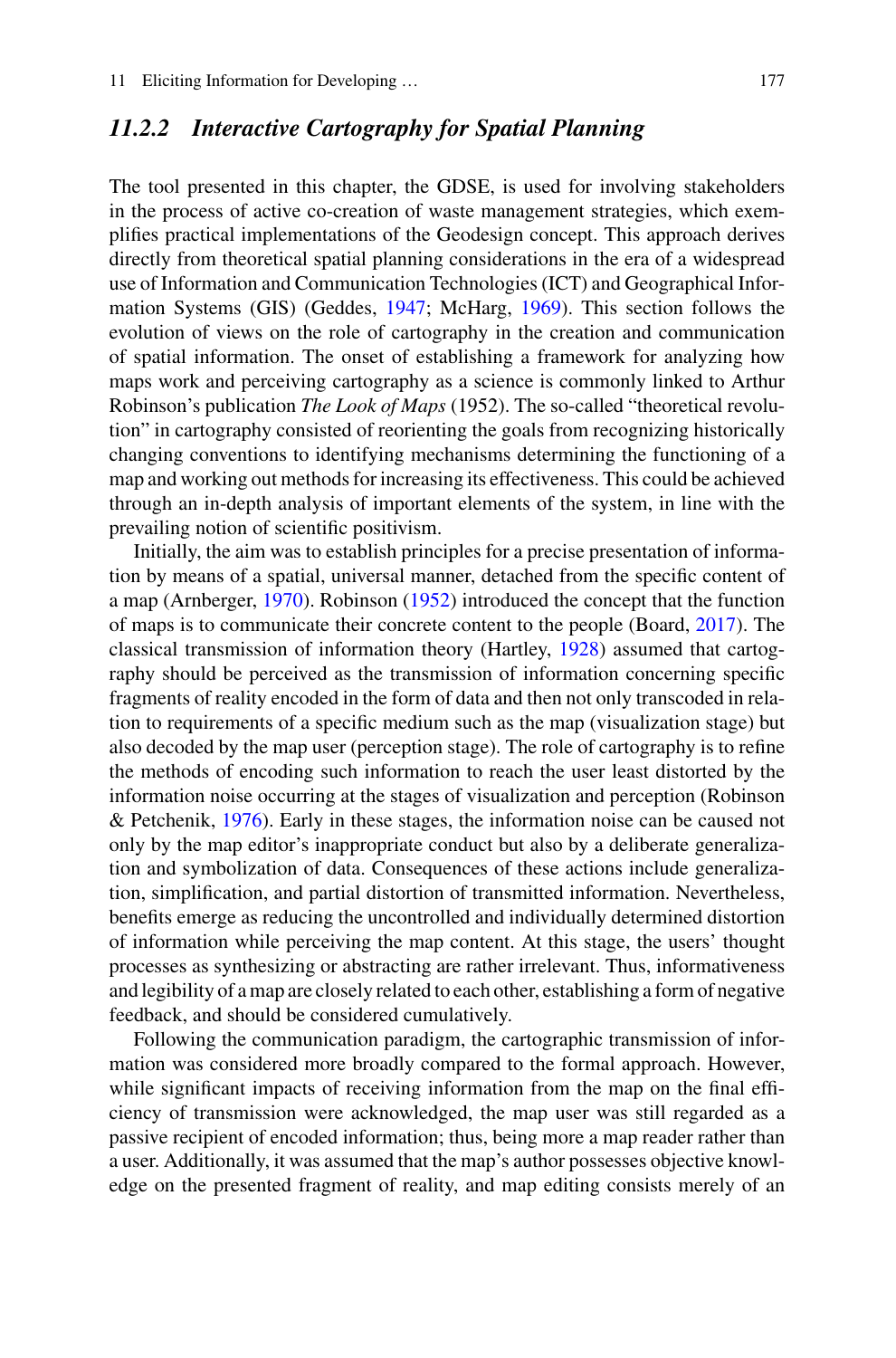#### *11.2.2 Interactive Cartography for Spatial Planning*

The tool presented in this chapter, the GDSE, is used for involving stakeholders in the process of active co-creation of waste management strategies, which exemplifies practical implementations of the Geodesign concept. This approach derives directly from theoretical spatial planning considerations in the era of a widespread use of Information and Communication Technologies (ICT) and Geographical Information Systems (GIS) (Geddes, [1947;](#page-17-2) McHarg, [1969\)](#page-17-3). This section follows the evolution of views on the role of cartography in the creation and communication of spatial information. The onset of establishing a framework for analyzing how maps work and perceiving cartography as a science is commonly linked to Arthur Robinson's publication *The Look of Maps* (1952). The so-called "theoretical revolution" in cartography consisted of reorienting the goals from recognizing historically changing conventions to identifying mechanisms determining the functioning of a map and working out methods for increasing its effectiveness. This could be achieved through an in-depth analysis of important elements of the system, in line with the prevailing notion of scientific positivism.

Initially, the aim was to establish principles for a precise presentation of information by means of a spatial, universal manner, detached from the specific content of a map (Arnberger, [1970\)](#page-16-2). Robinson [\(1952\)](#page-18-3) introduced the concept that the function of maps is to communicate their concrete content to the people (Board, [2017\)](#page-16-3). The classical transmission of information theory (Hartley, [1928\)](#page-17-4) assumed that cartography should be perceived as the transmission of information concerning specific fragments of reality encoded in the form of data and then not only transcoded in relation to requirements of a specific medium such as the map (visualization stage) but also decoded by the map user (perception stage). The role of cartography is to refine the methods of encoding such information to reach the user least distorted by the information noise occurring at the stages of visualization and perception (Robinson & Petchenik, [1976\)](#page-18-4). Early in these stages, the information noise can be caused not only by the map editor's inappropriate conduct but also by a deliberate generalization and symbolization of data. Consequences of these actions include generalization, simplification, and partial distortion of transmitted information. Nevertheless, benefits emerge as reducing the uncontrolled and individually determined distortion of information while perceiving the map content. At this stage, the users' thought processes as synthesizing or abstracting are rather irrelevant. Thus, informativeness and legibility of a map are closely related to each other, establishing a form of negative feedback, and should be considered cumulatively.

Following the communication paradigm, the cartographic transmission of information was considered more broadly compared to the formal approach. However, while significant impacts of receiving information from the map on the final efficiency of transmission were acknowledged, the map user was still regarded as a passive recipient of encoded information; thus, being more a map reader rather than a user. Additionally, it was assumed that the map's author possesses objective knowledge on the presented fragment of reality, and map editing consists merely of an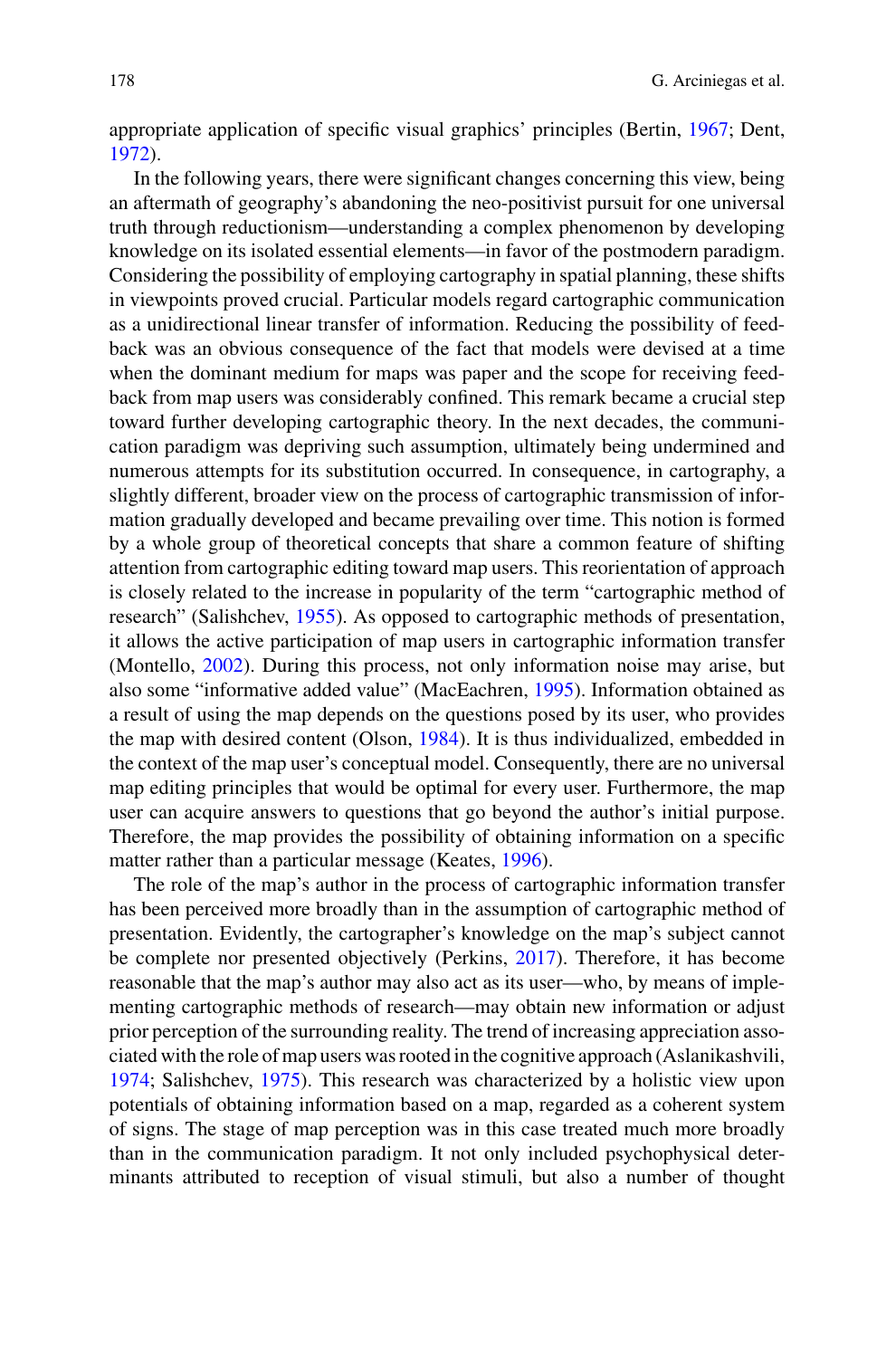appropriate application of specific visual graphics' principles (Bertin, [1967;](#page-16-4) Dent, [1972\)](#page-17-5).

In the following years, there were significant changes concerning this view, being an aftermath of geography's abandoning the neo-positivist pursuit for one universal truth through reductionism—understanding a complex phenomenon by developing knowledge on its isolated essential elements—in favor of the postmodern paradigm. Considering the possibility of employing cartography in spatial planning, these shifts in viewpoints proved crucial. Particular models regard cartographic communication as a unidirectional linear transfer of information. Reducing the possibility of feedback was an obvious consequence of the fact that models were devised at a time when the dominant medium for maps was paper and the scope for receiving feedback from map users was considerably confined. This remark became a crucial step toward further developing cartographic theory. In the next decades, the communication paradigm was depriving such assumption, ultimately being undermined and numerous attempts for its substitution occurred. In consequence, in cartography, a slightly different, broader view on the process of cartographic transmission of information gradually developed and became prevailing over time. This notion is formed by a whole group of theoretical concepts that share a common feature of shifting attention from cartographic editing toward map users. This reorientation of approach is closely related to the increase in popularity of the term "cartographic method of research" (Salishchev, [1955\)](#page-18-5). As opposed to cartographic methods of presentation, it allows the active participation of map users in cartographic information transfer (Montello, [2002\)](#page-17-6). During this process, not only information noise may arise, but also some "informative added value" (MacEachren, [1995\)](#page-17-7). Information obtained as a result of using the map depends on the questions posed by its user, who provides the map with desired content (Olson, [1984\)](#page-17-8). It is thus individualized, embedded in the context of the map user's conceptual model. Consequently, there are no universal map editing principles that would be optimal for every user. Furthermore, the map user can acquire answers to questions that go beyond the author's initial purpose. Therefore, the map provides the possibility of obtaining information on a specific matter rather than a particular message (Keates, [1996\)](#page-17-9).

The role of the map's author in the process of cartographic information transfer has been perceived more broadly than in the assumption of cartographic method of presentation. Evidently, the cartographer's knowledge on the map's subject cannot be complete nor presented objectively (Perkins, [2017\)](#page-17-10). Therefore, it has become reasonable that the map's author may also act as its user—who, by means of implementing cartographic methods of research—may obtain new information or adjust prior perception of the surrounding reality. The trend of increasing appreciation associated with the role of map users was rooted in the cognitive approach (Aslanikashvili, [1974;](#page-16-5) Salishchev, [1975\)](#page-18-6). This research was characterized by a holistic view upon potentials of obtaining information based on a map, regarded as a coherent system of signs. The stage of map perception was in this case treated much more broadly than in the communication paradigm. It not only included psychophysical determinants attributed to reception of visual stimuli, but also a number of thought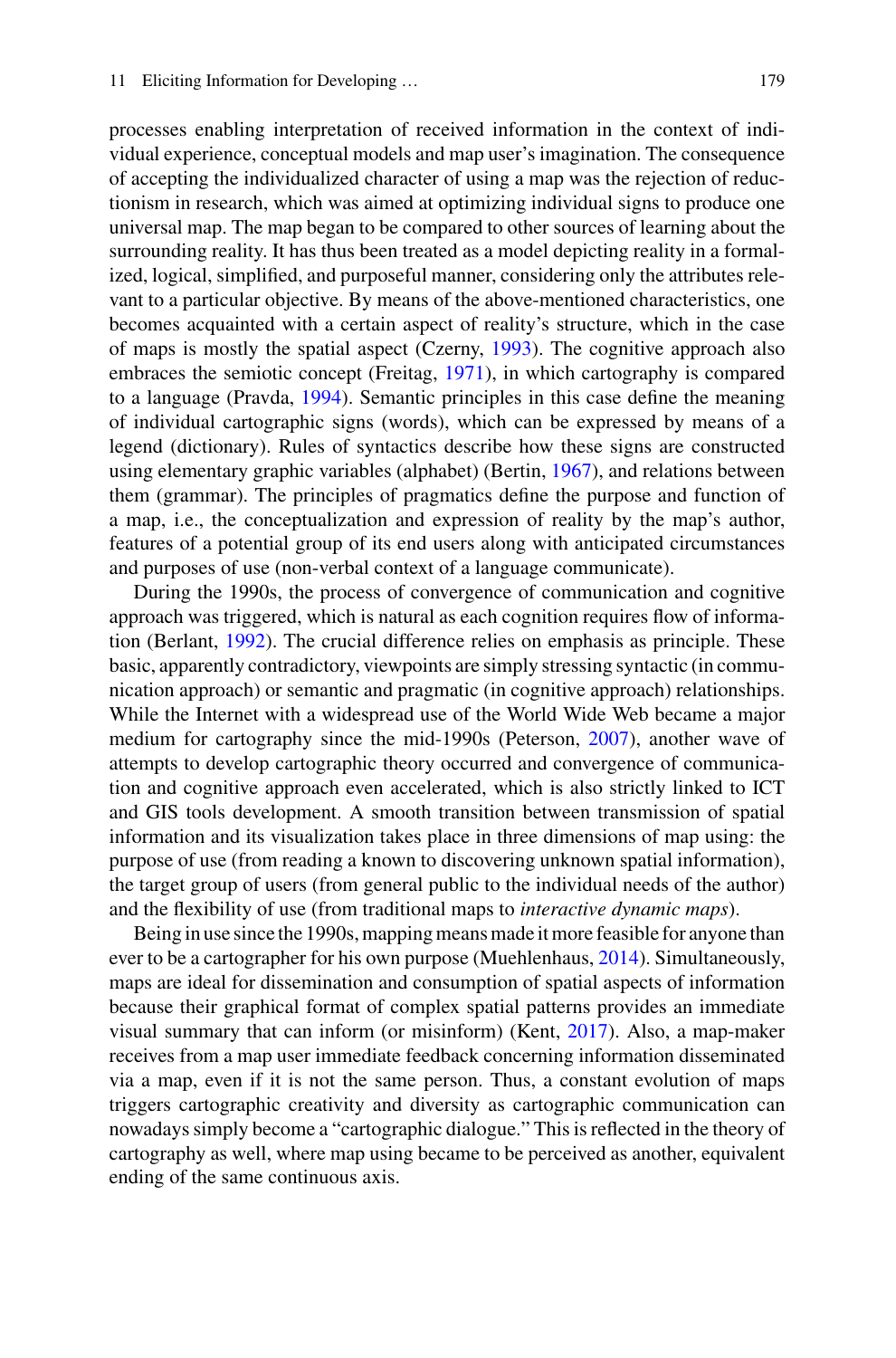processes enabling interpretation of received information in the context of individual experience, conceptual models and map user's imagination. The consequence of accepting the individualized character of using a map was the rejection of reductionism in research, which was aimed at optimizing individual signs to produce one universal map. The map began to be compared to other sources of learning about the surrounding reality. It has thus been treated as a model depicting reality in a formalized, logical, simplified, and purposeful manner, considering only the attributes relevant to a particular objective. By means of the above-mentioned characteristics, one becomes acquainted with a certain aspect of reality's structure, which in the case of maps is mostly the spatial aspect (Czerny, [1993\)](#page-16-6). The cognitive approach also embraces the semiotic concept (Freitag, [1971\)](#page-17-11), in which cartography is compared to a language (Pravda, [1994\)](#page-17-12). Semantic principles in this case define the meaning of individual cartographic signs (words), which can be expressed by means of a legend (dictionary). Rules of syntactics describe how these signs are constructed using elementary graphic variables (alphabet) (Bertin, [1967\)](#page-16-4), and relations between them (grammar). The principles of pragmatics define the purpose and function of a map, i.e., the conceptualization and expression of reality by the map's author, features of a potential group of its end users along with anticipated circumstances and purposes of use (non-verbal context of a language communicate).

During the 1990s, the process of convergence of communication and cognitive approach was triggered, which is natural as each cognition requires flow of information (Berlant, [1992\)](#page-16-7). The crucial difference relies on emphasis as principle. These basic, apparently contradictory, viewpoints are simply stressing syntactic (in communication approach) or semantic and pragmatic (in cognitive approach) relationships. While the Internet with a widespread use of the World Wide Web became a major medium for cartography since the mid-1990s (Peterson, [2007\)](#page-17-13), another wave of attempts to develop cartographic theory occurred and convergence of communication and cognitive approach even accelerated, which is also strictly linked to ICT and GIS tools development. A smooth transition between transmission of spatial information and its visualization takes place in three dimensions of map using: the purpose of use (from reading a known to discovering unknown spatial information), the target group of users (from general public to the individual needs of the author) and the flexibility of use (from traditional maps to *interactive dynamic maps*).

Being in use since the 1990s, mapping means made it more feasible for anyone than ever to be a cartographer for his own purpose (Muehlenhaus, [2014\)](#page-17-14). Simultaneously, maps are ideal for dissemination and consumption of spatial aspects of information because their graphical format of complex spatial patterns provides an immediate visual summary that can inform (or misinform) (Kent, [2017\)](#page-17-15). Also, a map-maker receives from a map user immediate feedback concerning information disseminated via a map, even if it is not the same person. Thus, a constant evolution of maps triggers cartographic creativity and diversity as cartographic communication can nowadays simply become a "cartographic dialogue." This is reflected in the theory of cartography as well, where map using became to be perceived as another, equivalent ending of the same continuous axis.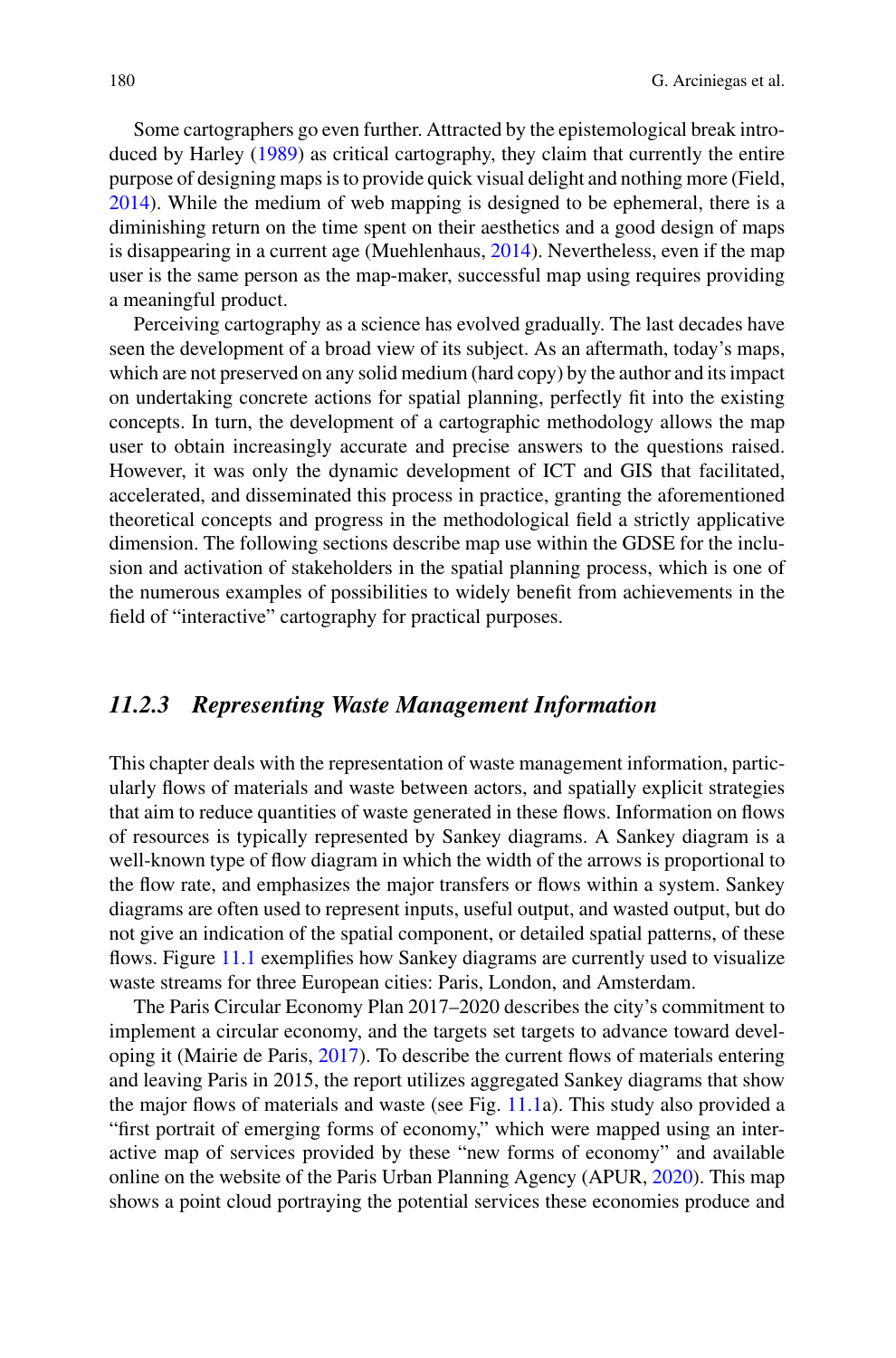Some cartographers go even further. Attracted by the epistemological break introduced by Harley [\(1989\)](#page-17-16) as critical cartography, they claim that currently the entire purpose of designing maps is to provide quick visual delight and nothing more (Field, [2014\)](#page-17-17). While the medium of web mapping is designed to be ephemeral, there is a diminishing return on the time spent on their aesthetics and a good design of maps is disappearing in a current age (Muehlenhaus, [2014\)](#page-17-14). Nevertheless, even if the map user is the same person as the map-maker, successful map using requires providing a meaningful product.

Perceiving cartography as a science has evolved gradually. The last decades have seen the development of a broad view of its subject. As an aftermath, today's maps, which are not preserved on any solid medium (hard copy) by the author and its impact on undertaking concrete actions for spatial planning, perfectly fit into the existing concepts. In turn, the development of a cartographic methodology allows the map user to obtain increasingly accurate and precise answers to the questions raised. However, it was only the dynamic development of ICT and GIS that facilitated, accelerated, and disseminated this process in practice, granting the aforementioned theoretical concepts and progress in the methodological field a strictly applicative dimension. The following sections describe map use within the GDSE for the inclusion and activation of stakeholders in the spatial planning process, which is one of the numerous examples of possibilities to widely benefit from achievements in the field of "interactive" cartography for practical purposes.

#### *11.2.3 Representing Waste Management Information*

This chapter deals with the representation of waste management information, particularly flows of materials and waste between actors, and spatially explicit strategies that aim to reduce quantities of waste generated in these flows. Information on flows of resources is typically represented by Sankey diagrams. A Sankey diagram is a well-known type of flow diagram in which the width of the arrows is proportional to the flow rate, and emphasizes the major transfers or flows within a system. Sankey diagrams are often used to represent inputs, useful output, and wasted output, but do not give an indication of the spatial component, or detailed spatial patterns, of these flows. Figure [11.1](#page-7-0) exemplifies how Sankey diagrams are currently used to visualize waste streams for three European cities: Paris, London, and Amsterdam.

The Paris Circular Economy Plan 2017–2020 describes the city's commitment to implement a circular economy, and the targets set targets to advance toward developing it (Mairie de Paris, [2017\)](#page-17-0). To describe the current flows of materials entering and leaving Paris in 2015, the report utilizes aggregated Sankey diagrams that show the major flows of materials and waste (see Fig. [11.1a](#page-7-0)). This study also provided a "first portrait of emerging forms of economy," which were mapped using an interactive map of services provided by these "new forms of economy" and available online on the website of the Paris Urban Planning Agency (APUR, [2020\)](#page-17-18). This map shows a point cloud portraying the potential services these economies produce and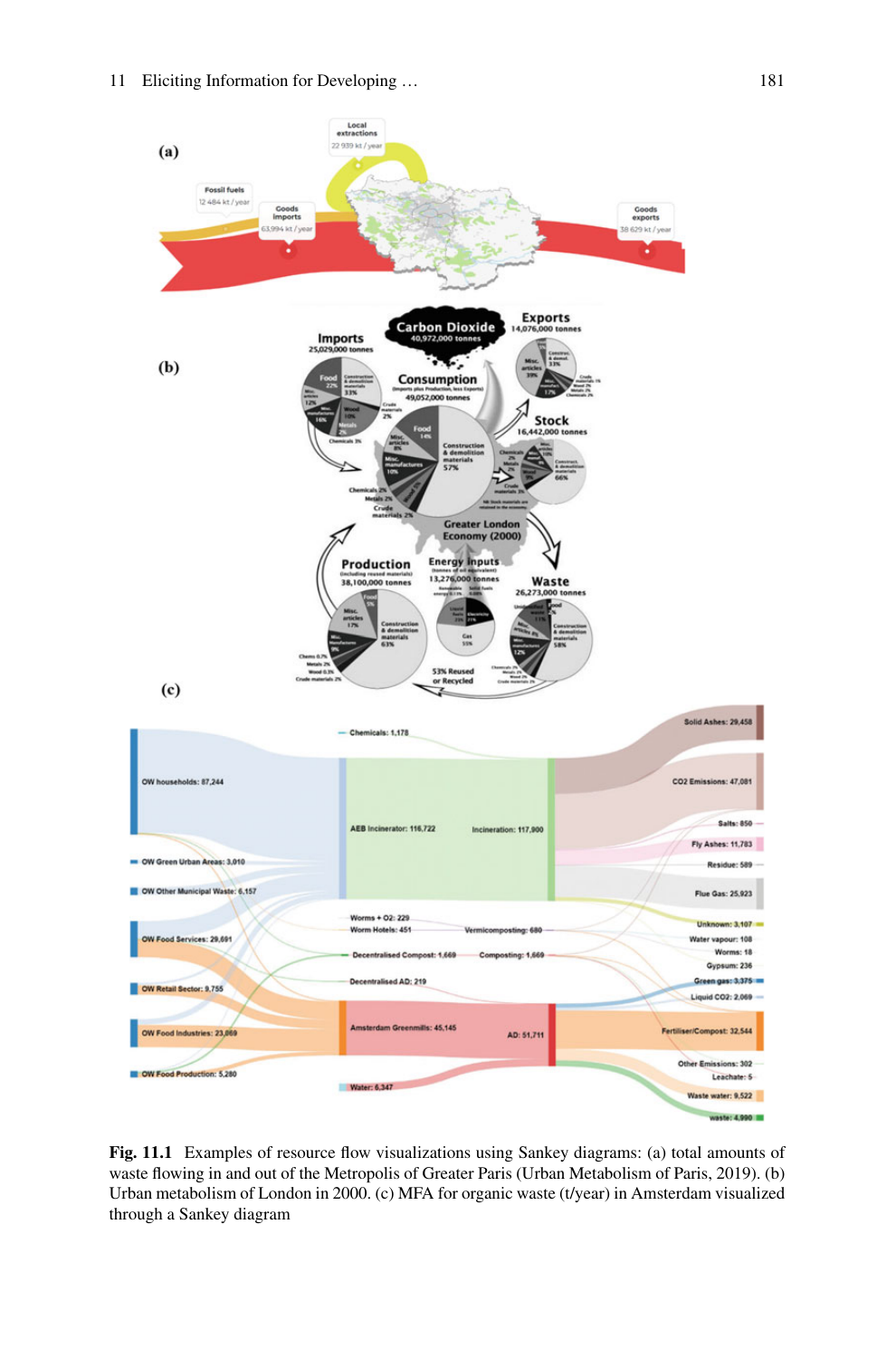

<span id="page-7-0"></span>**Fig. 11.1** Examples of resource flow visualizations using Sankey diagrams: (a) total amounts of waste flowing in and out of the Metropolis of Greater Paris (Urban Metabolism of Paris, 2019). (b) Urban metabolism of London in 2000. (c) MFA for organic waste (t/year) in Amsterdam visualized through a Sankey diagram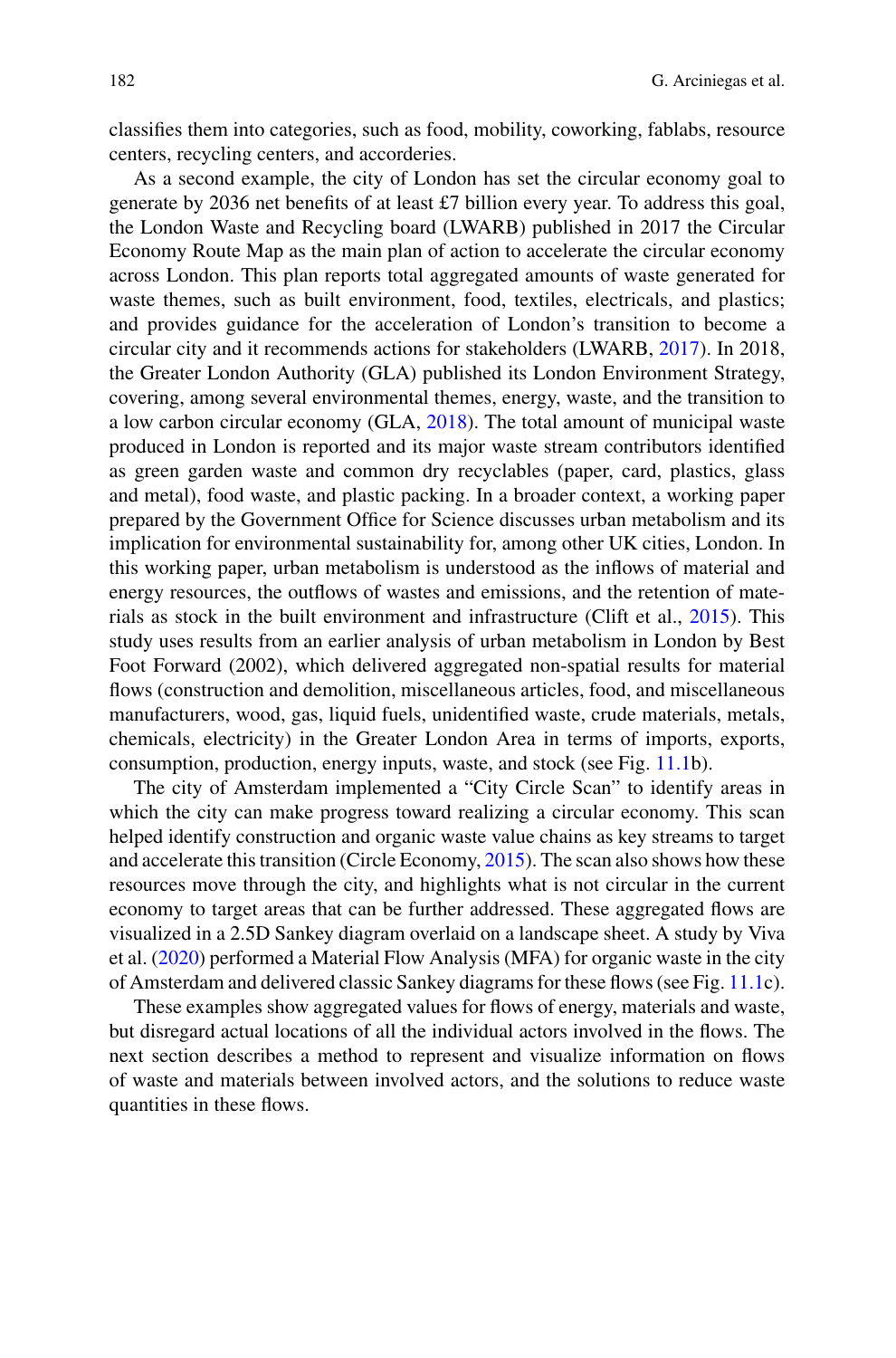classifies them into categories, such as food, mobility, coworking, fablabs, resource centers, recycling centers, and accorderies.

As a second example, the city of London has set the circular economy goal to generate by 2036 net benefits of at least £7 billion every year. To address this goal, the London Waste and Recycling board (LWARB) published in 2017 the Circular Economy Route Map as the main plan of action to accelerate the circular economy across London. This plan reports total aggregated amounts of waste generated for waste themes, such as built environment, food, textiles, electricals, and plastics; and provides guidance for the acceleration of London's transition to become a circular city and it recommends actions for stakeholders (LWARB, [2017\)](#page-17-19). In 2018, the Greater London Authority (GLA) published its London Environment Strategy, covering, among several environmental themes, energy, waste, and the transition to a low carbon circular economy (GLA, [2018\)](#page-17-20). The total amount of municipal waste produced in London is reported and its major waste stream contributors identified as green garden waste and common dry recyclables (paper, card, plastics, glass and metal), food waste, and plastic packing. In a broader context, a working paper prepared by the Government Office for Science discusses urban metabolism and its implication for environmental sustainability for, among other UK cities, London. In this working paper, urban metabolism is understood as the inflows of material and energy resources, the outflows of wastes and emissions, and the retention of materials as stock in the built environment and infrastructure (Clift et al., [2015\)](#page-16-1). This study uses results from an earlier analysis of urban metabolism in London by Best Foot Forward (2002), which delivered aggregated non-spatial results for material flows (construction and demolition, miscellaneous articles, food, and miscellaneous manufacturers, wood, gas, liquid fuels, unidentified waste, crude materials, metals, chemicals, electricity) in the Greater London Area in terms of imports, exports, consumption, production, energy inputs, waste, and stock (see Fig. [11.1b](#page-7-0)).

The city of Amsterdam implemented a "City Circle Scan" to identify areas in which the city can make progress toward realizing a circular economy. This scan helped identify construction and organic waste value chains as key streams to target and accelerate this transition (Circle Economy, [2015\)](#page-16-8). The scan also shows how these resources move through the city, and highlights what is not circular in the current economy to target areas that can be further addressed. These aggregated flows are visualized in a 2.5D Sankey diagram overlaid on a landscape sheet. A study by Viva et al. [\(2020\)](#page-18-7) performed a Material Flow Analysis (MFA) for organic waste in the city of Amsterdam and delivered classic Sankey diagrams for these flows (see Fig. [11.1c](#page-7-0)).

These examples show aggregated values for flows of energy, materials and waste, but disregard actual locations of all the individual actors involved in the flows. The next section describes a method to represent and visualize information on flows of waste and materials between involved actors, and the solutions to reduce waste quantities in these flows.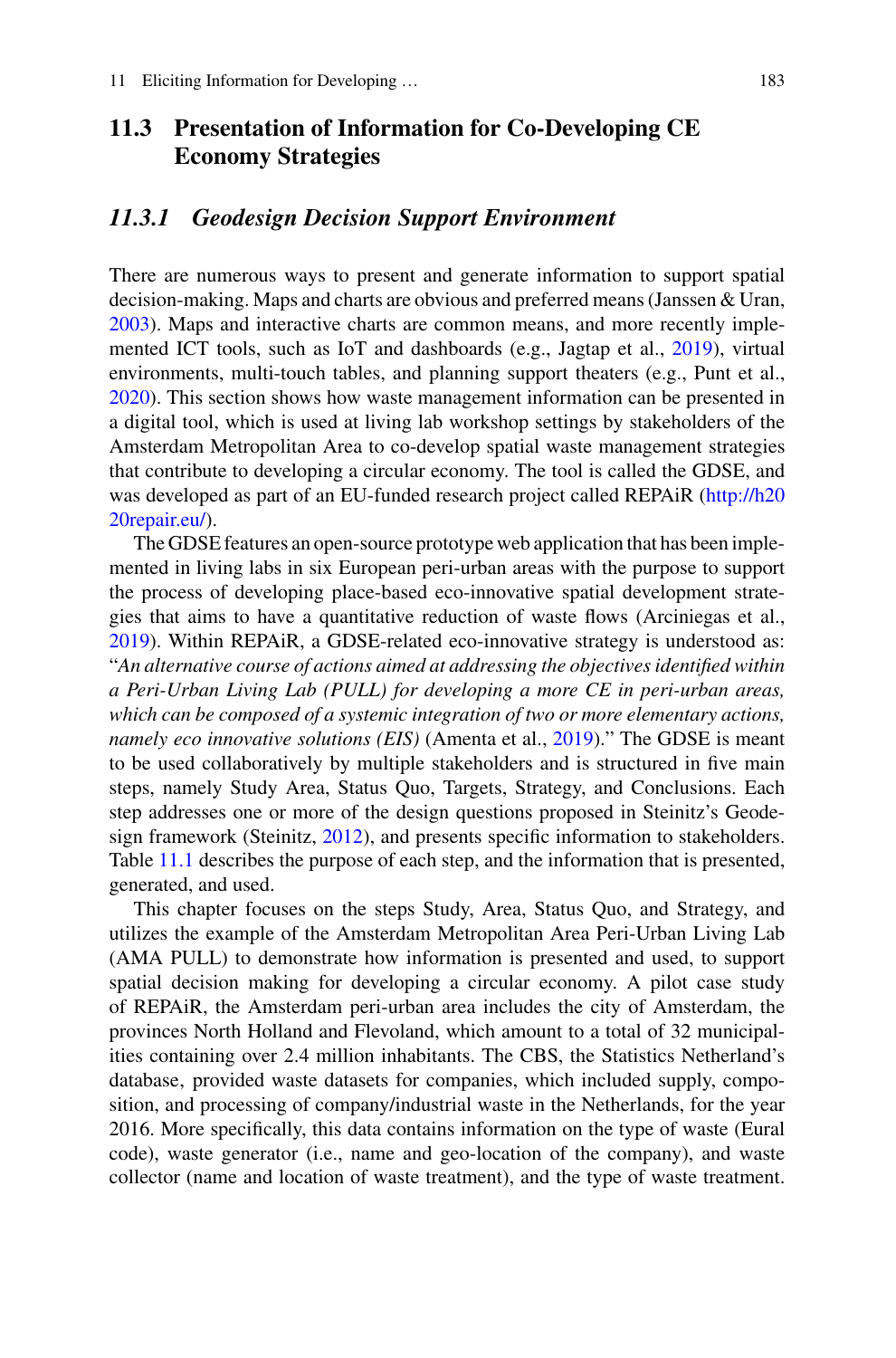## **11.3 Presentation of Information for Co-Developing CE Economy Strategies**

#### *11.3.1 Geodesign Decision Support Environment*

There are numerous ways to present and generate information to support spatial decision-making. Maps and charts are obvious and preferred means (Janssen & Uran, [2003\)](#page-17-21). Maps and interactive charts are common means, and more recently implemented ICT tools, such as IoT and dashboards (e.g., Jagtap et al., [2019\)](#page-17-22), virtual environments, multi-touch tables, and planning support theaters (e.g., Punt et al., [2020\)](#page-18-8). This section shows how waste management information can be presented in a digital tool, which is used at living lab workshop settings by stakeholders of the Amsterdam Metropolitan Area to co-develop spatial waste management strategies that contribute to developing a circular economy. The tool is called the GDSE, and [was developed as part of an EU-funded research project called REPAiR \(http://h20](http://h2020repair.eu/) 20repair.eu/).

The GDSE features an open-source prototype web application that has been implemented in living labs in six European peri-urban areas with the purpose to support the process of developing place-based eco-innovative spatial development strategies that aims to have a quantitative reduction of waste flows (Arciniegas et al., [2019\)](#page-16-0). Within REPAiR, a GDSE-related eco-innovative strategy is understood as: "*An alternative course of actions aimed at addressing the objectives identified within a Peri-Urban Living Lab (PULL) for developing a more CE in peri-urban areas, which can be composed of a systemic integration of two or more elementary actions, namely eco innovative solutions (EIS)* (Amenta et al., [2019\)](#page-16-9)." The GDSE is meant to be used collaboratively by multiple stakeholders and is structured in five main steps, namely Study Area, Status Quo, Targets, Strategy, and Conclusions. Each step addresses one or more of the design questions proposed in Steinitz's Geodesign framework (Steinitz, [2012\)](#page-18-1), and presents specific information to stakeholders. Table [11.1](#page-10-0) describes the purpose of each step, and the information that is presented, generated, and used.

This chapter focuses on the steps Study, Area, Status Quo, and Strategy, and utilizes the example of the Amsterdam Metropolitan Area Peri-Urban Living Lab (AMA PULL) to demonstrate how information is presented and used, to support spatial decision making for developing a circular economy. A pilot case study of REPAiR, the Amsterdam peri-urban area includes the city of Amsterdam, the provinces North Holland and Flevoland, which amount to a total of 32 municipalities containing over 2.4 million inhabitants. The CBS, the Statistics Netherland's database, provided waste datasets for companies, which included supply, composition, and processing of company/industrial waste in the Netherlands, for the year 2016. More specifically, this data contains information on the type of waste (Eural code), waste generator (i.e., name and geo-location of the company), and waste collector (name and location of waste treatment), and the type of waste treatment.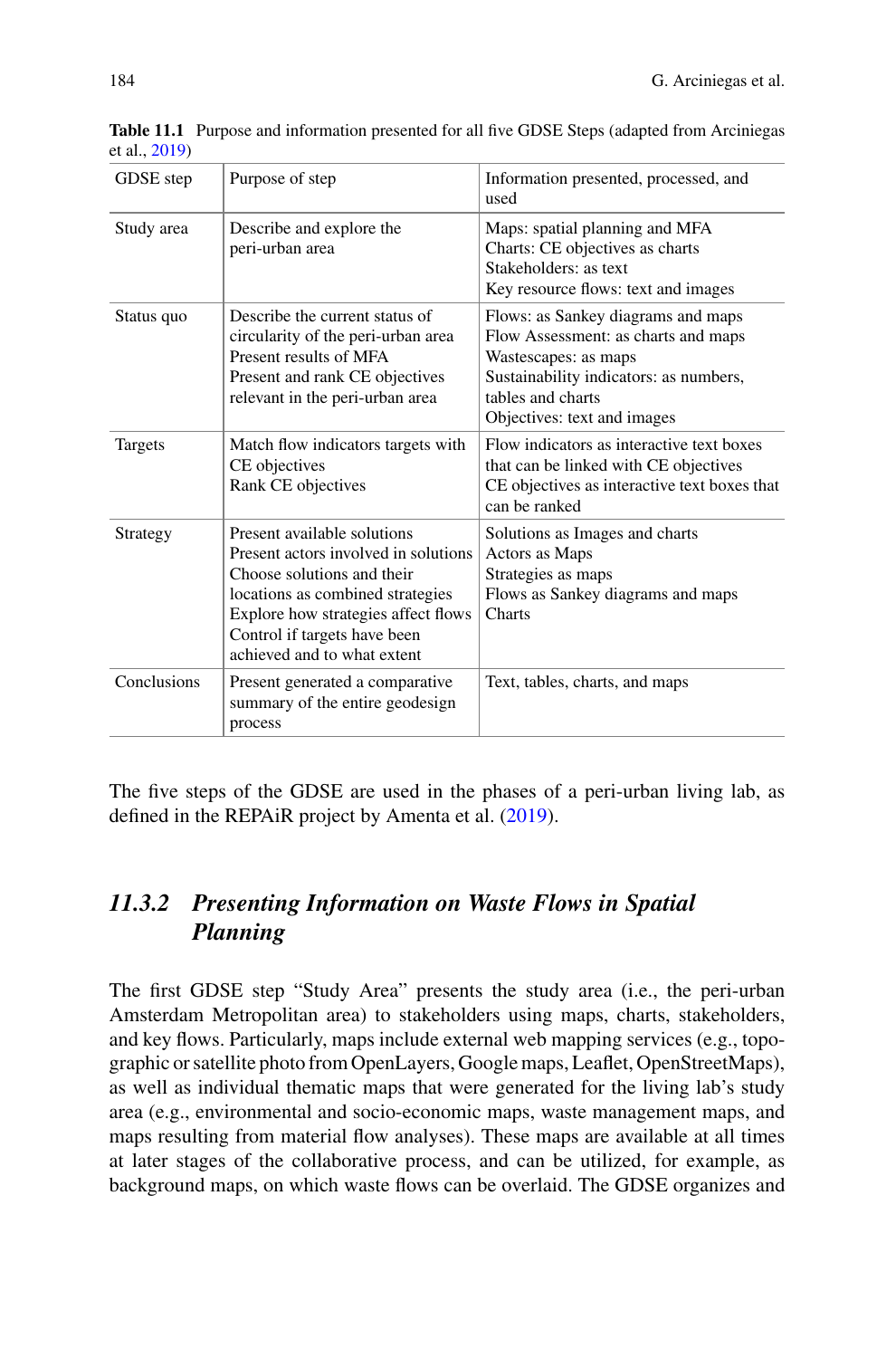| GDSE step   | Purpose of step                                                                                                                                                                                                                             | Information presented, processed, and<br>used                                                                                                                                                   |
|-------------|---------------------------------------------------------------------------------------------------------------------------------------------------------------------------------------------------------------------------------------------|-------------------------------------------------------------------------------------------------------------------------------------------------------------------------------------------------|
| Study area  | Describe and explore the<br>peri-urban area                                                                                                                                                                                                 | Maps: spatial planning and MFA<br>Charts: CE objectives as charts<br>Stakeholders: as text<br>Key resource flows: text and images                                                               |
| Status quo  | Describe the current status of<br>circularity of the peri-urban area<br>Present results of MFA<br>Present and rank CE objectives<br>relevant in the peri-urban area                                                                         | Flows: as Sankey diagrams and maps<br>Flow Assessment: as charts and maps<br>Wastescapes: as maps<br>Sustainability indicators: as numbers,<br>tables and charts<br>Objectives: text and images |
| Targets     | Match flow indicators targets with<br>CE objectives<br>Rank CE objectives                                                                                                                                                                   | Flow indicators as interactive text boxes<br>that can be linked with CE objectives<br>CE objectives as interactive text boxes that<br>can be ranked                                             |
| Strategy    | Present available solutions<br>Present actors involved in solutions<br>Choose solutions and their<br>locations as combined strategies<br>Explore how strategies affect flows<br>Control if targets have been<br>achieved and to what extent | Solutions as Images and charts<br>Actors as Maps<br>Strategies as maps<br>Flows as Sankey diagrams and maps<br>Charts                                                                           |
| Conclusions | Present generated a comparative<br>summary of the entire geodesign<br>process                                                                                                                                                               | Text, tables, charts, and maps                                                                                                                                                                  |

<span id="page-10-0"></span>**Table 11.1** Purpose and information presented for all five GDSE Steps (adapted from Arciniegas et al., [2019\)](#page-16-0)

The five steps of the GDSE are used in the phases of a peri-urban living lab, as defined in the REPAiR project by Amenta et al. [\(2019\)](#page-16-9).

## *11.3.2 Presenting Information on Waste Flows in Spatial Planning*

The first GDSE step "Study Area" presents the study area (i.e., the peri-urban Amsterdam Metropolitan area) to stakeholders using maps, charts, stakeholders, and key flows. Particularly, maps include external web mapping services (e.g., topographic or satellite photo from OpenLayers, Google maps, Leaflet, OpenStreetMaps), as well as individual thematic maps that were generated for the living lab's study area (e.g., environmental and socio-economic maps, waste management maps, and maps resulting from material flow analyses). These maps are available at all times at later stages of the collaborative process, and can be utilized, for example, as background maps, on which waste flows can be overlaid. The GDSE organizes and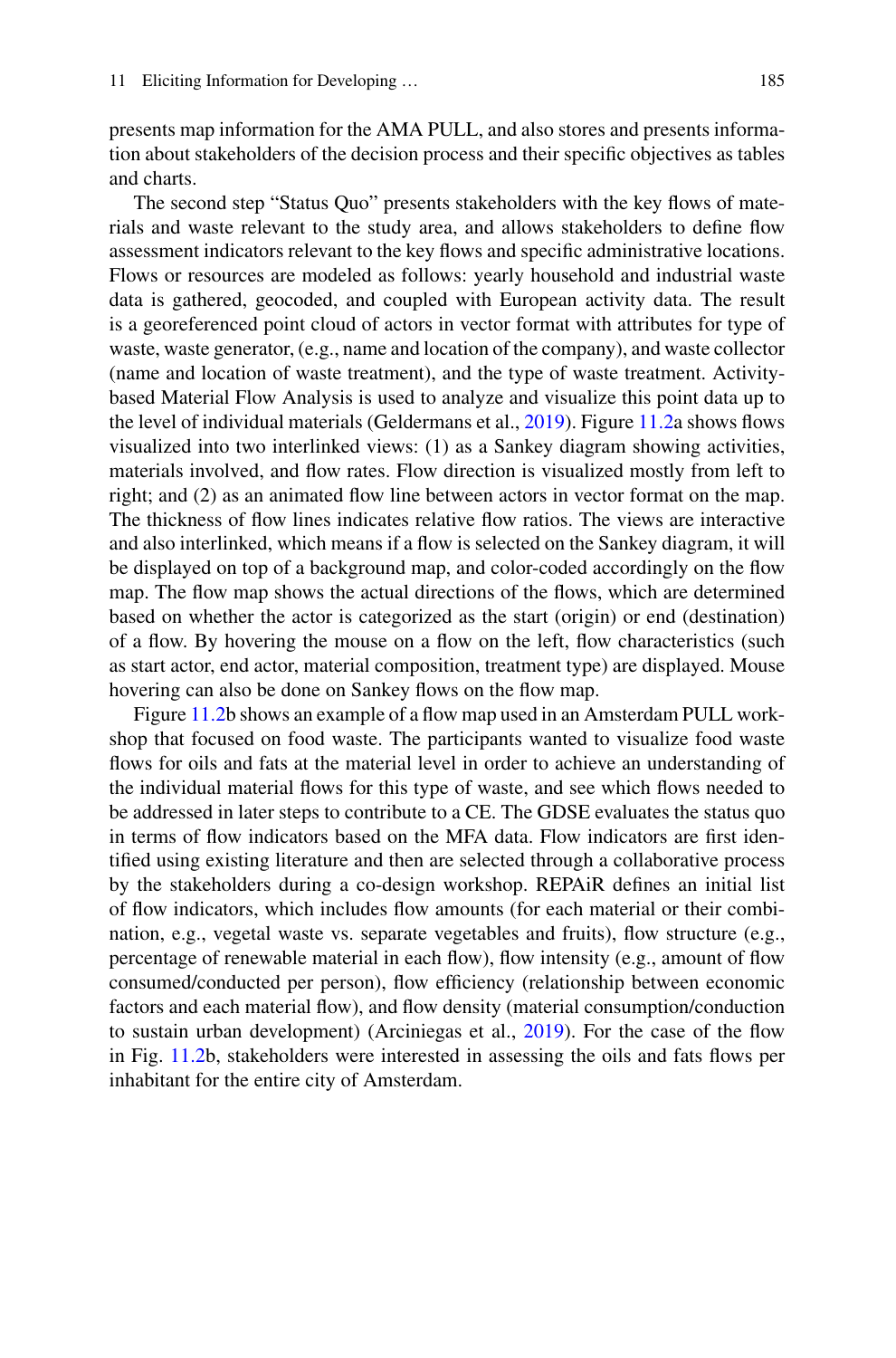presents map information for the AMA PULL, and also stores and presents information about stakeholders of the decision process and their specific objectives as tables and charts.

The second step "Status Quo" presents stakeholders with the key flows of materials and waste relevant to the study area, and allows stakeholders to define flow assessment indicators relevant to the key flows and specific administrative locations. Flows or resources are modeled as follows: yearly household and industrial waste data is gathered, geocoded, and coupled with European activity data. The result is a georeferenced point cloud of actors in vector format with attributes for type of waste, waste generator, (e.g., name and location of the company), and waste collector (name and location of waste treatment), and the type of waste treatment. Activitybased Material Flow Analysis is used to analyze and visualize this point data up to the level of individual materials (Geldermans et al., [2019\)](#page-17-23). Figure [11.2a](#page-12-0) shows flows visualized into two interlinked views: (1) as a Sankey diagram showing activities, materials involved, and flow rates. Flow direction is visualized mostly from left to right; and (2) as an animated flow line between actors in vector format on the map. The thickness of flow lines indicates relative flow ratios. The views are interactive and also interlinked, which means if a flow is selected on the Sankey diagram, it will be displayed on top of a background map, and color-coded accordingly on the flow map. The flow map shows the actual directions of the flows, which are determined based on whether the actor is categorized as the start (origin) or end (destination) of a flow. By hovering the mouse on a flow on the left, flow characteristics (such as start actor, end actor, material composition, treatment type) are displayed. Mouse hovering can also be done on Sankey flows on the flow map.

Figure [11.2b](#page-12-0) shows an example of a flow map used in an Amsterdam PULL workshop that focused on food waste. The participants wanted to visualize food waste flows for oils and fats at the material level in order to achieve an understanding of the individual material flows for this type of waste, and see which flows needed to be addressed in later steps to contribute to a CE. The GDSE evaluates the status quo in terms of flow indicators based on the MFA data. Flow indicators are first identified using existing literature and then are selected through a collaborative process by the stakeholders during a co-design workshop. REPAiR defines an initial list of flow indicators, which includes flow amounts (for each material or their combination, e.g., vegetal waste vs. separate vegetables and fruits), flow structure (e.g., percentage of renewable material in each flow), flow intensity (e.g., amount of flow consumed/conducted per person), flow efficiency (relationship between economic factors and each material flow), and flow density (material consumption/conduction to sustain urban development) (Arciniegas et al., [2019\)](#page-16-0). For the case of the flow in Fig. [11.2b](#page-12-0), stakeholders were interested in assessing the oils and fats flows per inhabitant for the entire city of Amsterdam.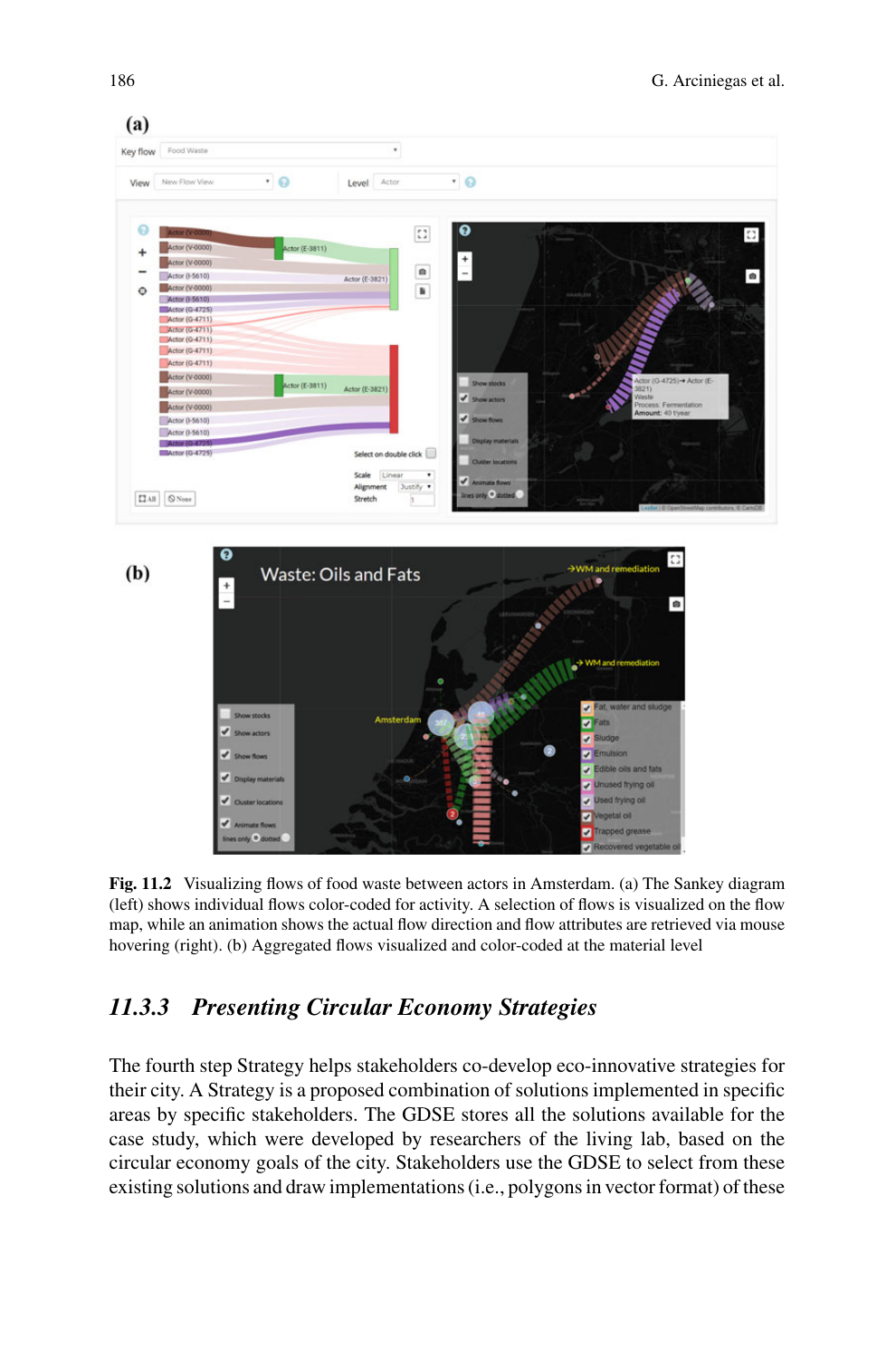

<span id="page-12-0"></span>**Fig. 11.2** Visualizing flows of food waste between actors in Amsterdam. (a) The Sankey diagram (left) shows individual flows color-coded for activity. A selection of flows is visualized on the flow map, while an animation shows the actual flow direction and flow attributes are retrieved via mouse hovering (right). (b) Aggregated flows visualized and color-coded at the material level

## *11.3.3 Presenting Circular Economy Strategies*

The fourth step Strategy helps stakeholders co-develop eco-innovative strategies for their city. A Strategy is a proposed combination of solutions implemented in specific areas by specific stakeholders. The GDSE stores all the solutions available for the case study, which were developed by researchers of the living lab, based on the circular economy goals of the city. Stakeholders use the GDSE to select from these existing solutions and draw implementations (i.e., polygons in vector format) of these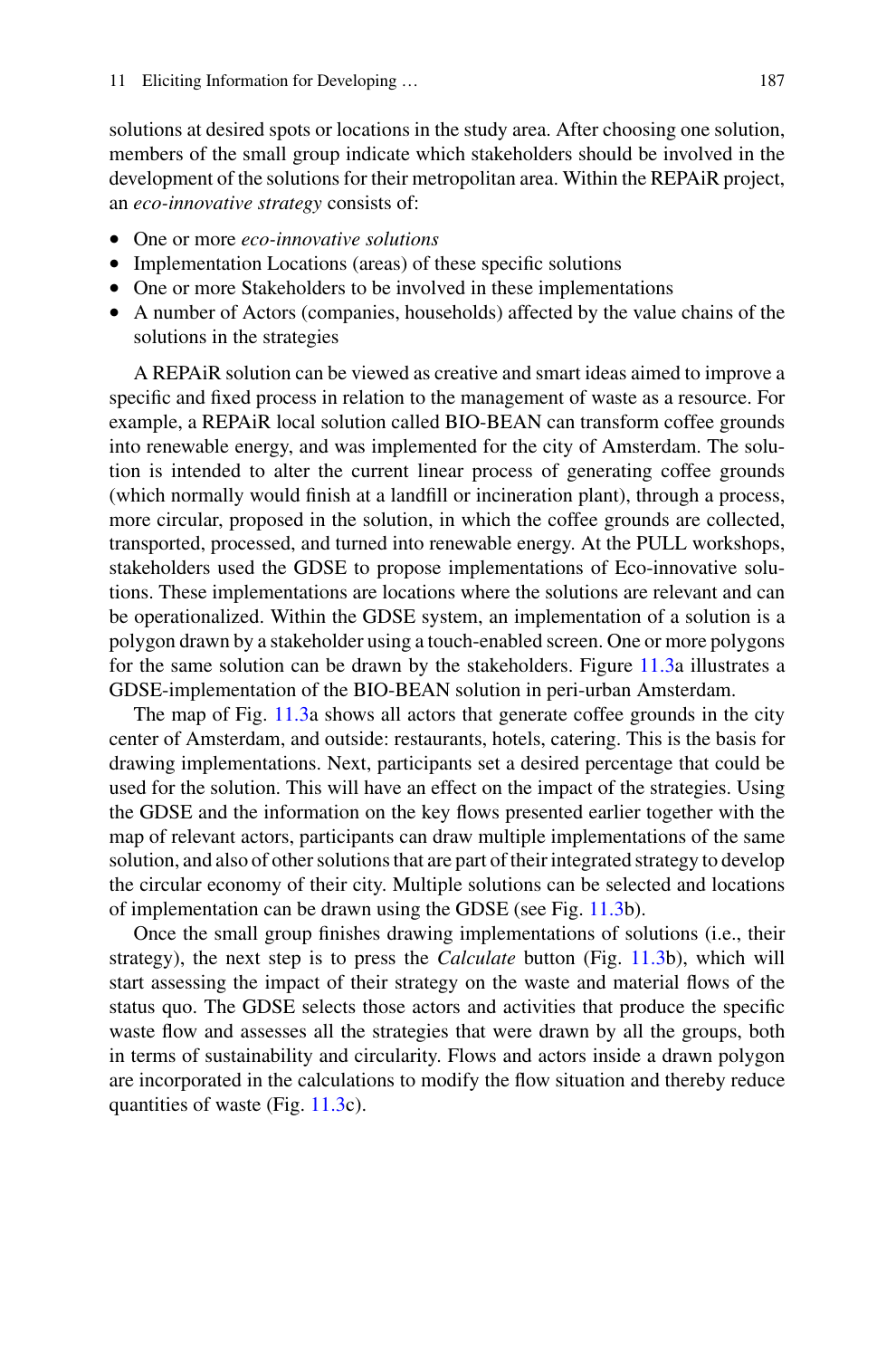solutions at desired spots or locations in the study area. After choosing one solution, members of the small group indicate which stakeholders should be involved in the development of the solutions for their metropolitan area. Within the REPAiR project, an *eco-innovative strategy* consists of:

- One or more *eco-innovative solutions*
- Implementation Locations (areas) of these specific solutions
- One or more Stakeholders to be involved in these implementations
- A number of Actors (companies, households) affected by the value chains of the solutions in the strategies

A REPAiR solution can be viewed as creative and smart ideas aimed to improve a specific and fixed process in relation to the management of waste as a resource. For example, a REPAiR local solution called BIO-BEAN can transform coffee grounds into renewable energy, and was implemented for the city of Amsterdam. The solution is intended to alter the current linear process of generating coffee grounds (which normally would finish at a landfill or incineration plant), through a process, more circular, proposed in the solution, in which the coffee grounds are collected, transported, processed, and turned into renewable energy. At the PULL workshops, stakeholders used the GDSE to propose implementations of Eco-innovative solutions. These implementations are locations where the solutions are relevant and can be operationalized. Within the GDSE system, an implementation of a solution is a polygon drawn by a stakeholder using a touch-enabled screen. One or more polygons for the same solution can be drawn by the stakeholders. Figure [11.3a](#page-14-0) illustrates a GDSE-implementation of the BIO-BEAN solution in peri-urban Amsterdam.

The map of Fig. [11.3a](#page-14-0) shows all actors that generate coffee grounds in the city center of Amsterdam, and outside: restaurants, hotels, catering. This is the basis for drawing implementations. Next, participants set a desired percentage that could be used for the solution. This will have an effect on the impact of the strategies. Using the GDSE and the information on the key flows presented earlier together with the map of relevant actors, participants can draw multiple implementations of the same solution, and also of other solutions that are part of their integrated strategy to develop the circular economy of their city. Multiple solutions can be selected and locations of implementation can be drawn using the GDSE (see Fig. [11.3b](#page-14-0)).

Once the small group finishes drawing implementations of solutions (i.e., their strategy), the next step is to press the *Calculate* button (Fig. [11.3b](#page-14-0)), which will start assessing the impact of their strategy on the waste and material flows of the status quo. The GDSE selects those actors and activities that produce the specific waste flow and assesses all the strategies that were drawn by all the groups, both in terms of sustainability and circularity. Flows and actors inside a drawn polygon are incorporated in the calculations to modify the flow situation and thereby reduce quantities of waste (Fig. [11.3c](#page-14-0)).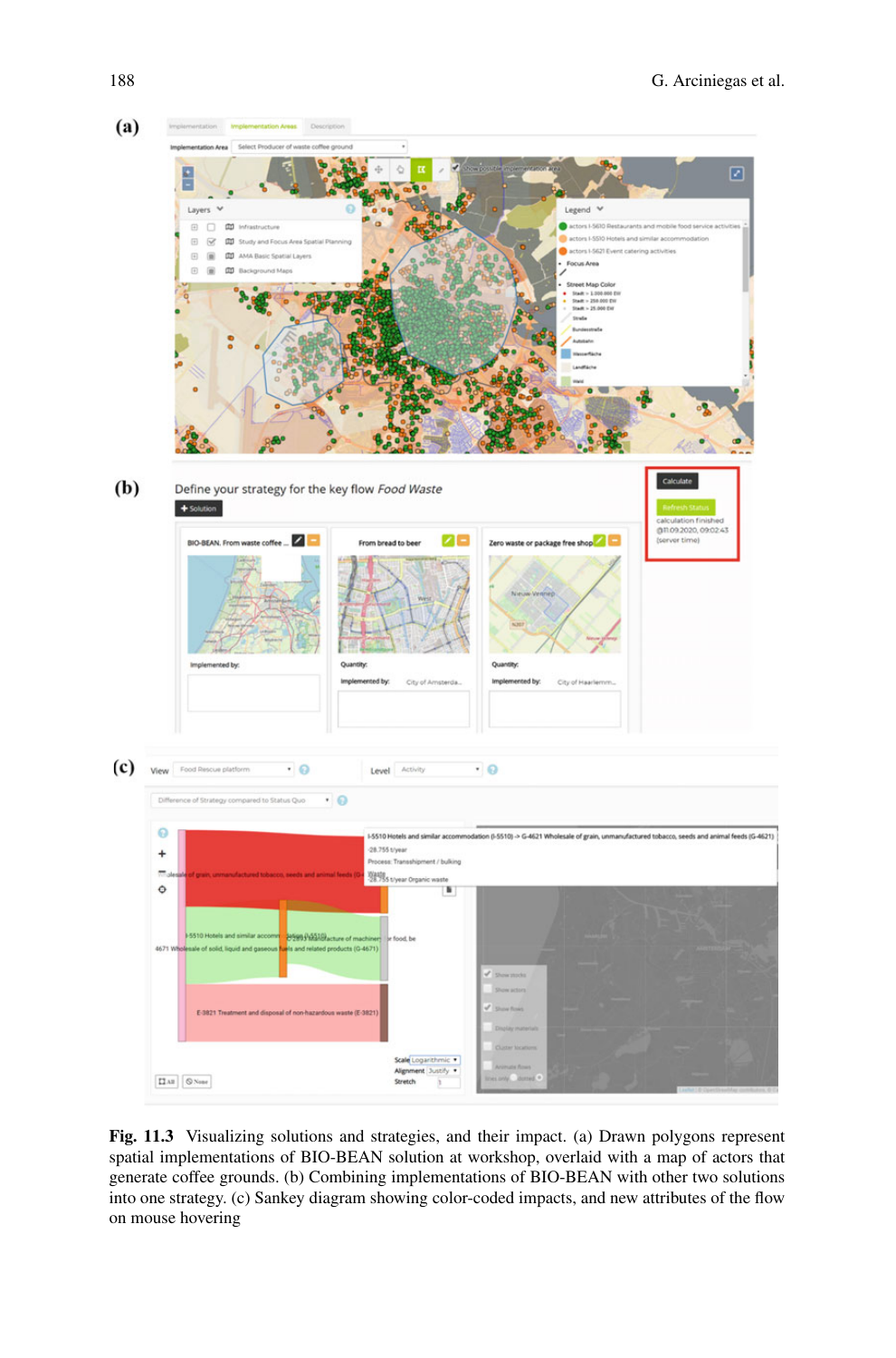

<span id="page-14-0"></span>**Fig. 11.3** Visualizing solutions and strategies, and their impact. (a) Drawn polygons represent spatial implementations of BIO-BEAN solution at workshop, overlaid with a map of actors that generate coffee grounds. (b) Combining implementations of BIO-BEAN with other two solutions into one strategy. (c) Sankey diagram showing color-coded impacts, and new attributes of the flow on mouse hovering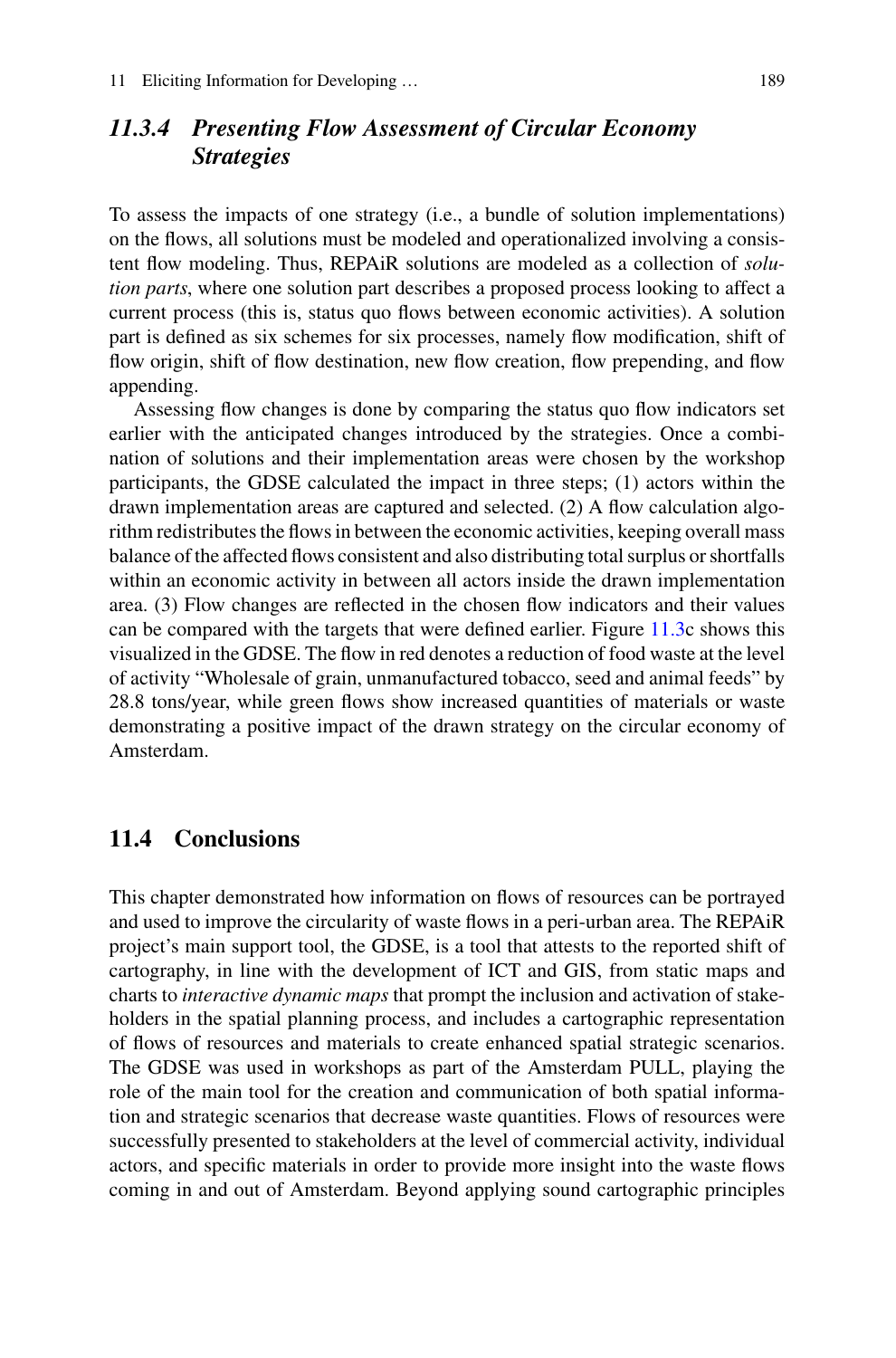## *11.3.4 Presenting Flow Assessment of Circular Economy Strategies*

To assess the impacts of one strategy (i.e., a bundle of solution implementations) on the flows, all solutions must be modeled and operationalized involving a consistent flow modeling. Thus, REPAiR solutions are modeled as a collection of *solution parts*, where one solution part describes a proposed process looking to affect a current process (this is, status quo flows between economic activities). A solution part is defined as six schemes for six processes, namely flow modification, shift of flow origin, shift of flow destination, new flow creation, flow prepending, and flow appending.

Assessing flow changes is done by comparing the status quo flow indicators set earlier with the anticipated changes introduced by the strategies. Once a combination of solutions and their implementation areas were chosen by the workshop participants, the GDSE calculated the impact in three steps; (1) actors within the drawn implementation areas are captured and selected. (2) A flow calculation algorithm redistributes the flows in between the economic activities, keeping overall mass balance of the affected flows consistent and also distributing total surplus or shortfalls within an economic activity in between all actors inside the drawn implementation area. (3) Flow changes are reflected in the chosen flow indicators and their values can be compared with the targets that were defined earlier. Figure [11.3c](#page-14-0) shows this visualized in the GDSE. The flow in red denotes a reduction of food waste at the level of activity "Wholesale of grain, unmanufactured tobacco, seed and animal feeds" by 28.8 tons/year, while green flows show increased quantities of materials or waste demonstrating a positive impact of the drawn strategy on the circular economy of Amsterdam.

#### **11.4 Conclusions**

This chapter demonstrated how information on flows of resources can be portrayed and used to improve the circularity of waste flows in a peri-urban area. The REPAiR project's main support tool, the GDSE, is a tool that attests to the reported shift of cartography, in line with the development of ICT and GIS, from static maps and charts to *interactive dynamic maps* that prompt the inclusion and activation of stakeholders in the spatial planning process, and includes a cartographic representation of flows of resources and materials to create enhanced spatial strategic scenarios. The GDSE was used in workshops as part of the Amsterdam PULL, playing the role of the main tool for the creation and communication of both spatial information and strategic scenarios that decrease waste quantities. Flows of resources were successfully presented to stakeholders at the level of commercial activity, individual actors, and specific materials in order to provide more insight into the waste flows coming in and out of Amsterdam. Beyond applying sound cartographic principles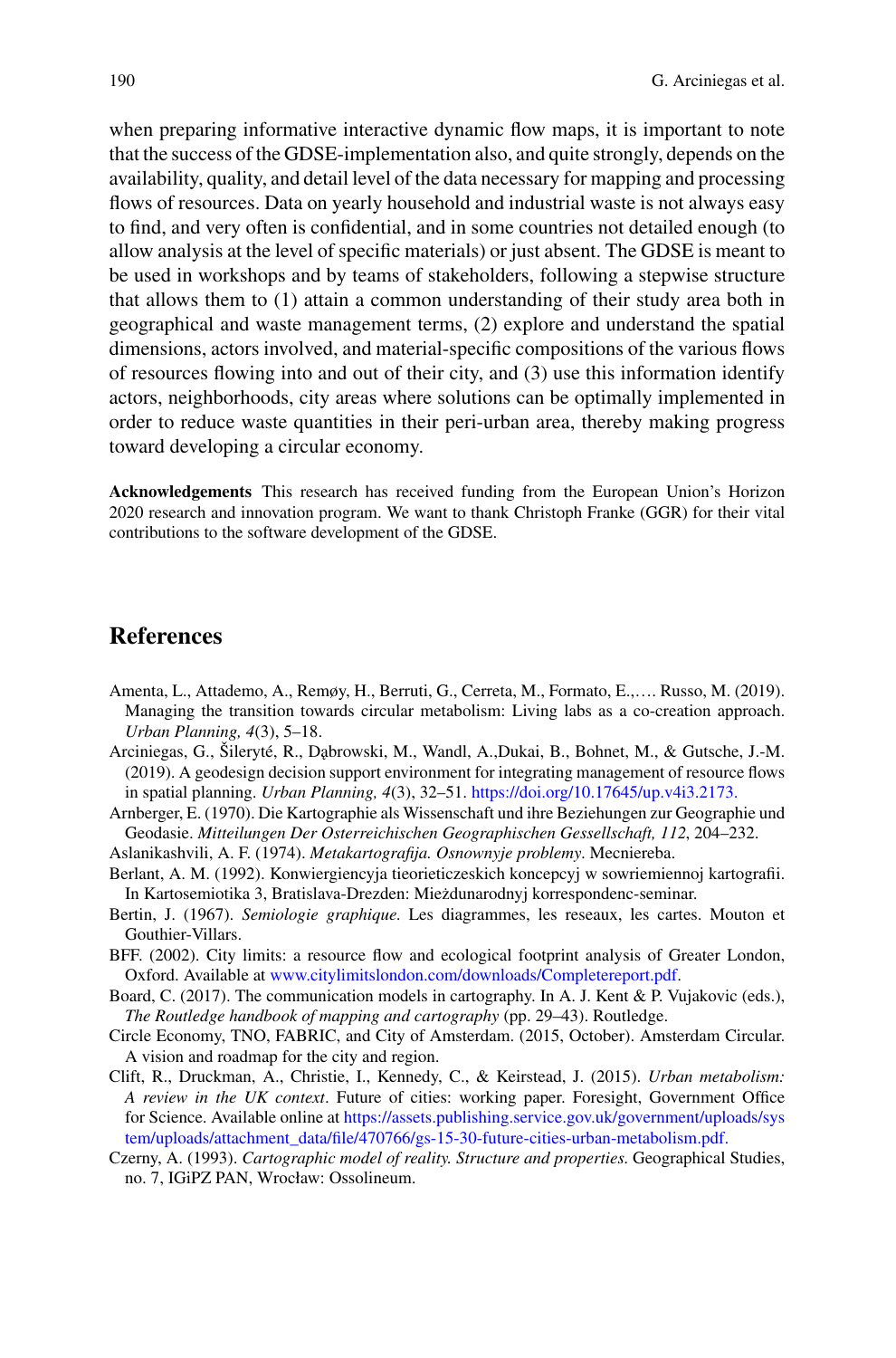when preparing informative interactive dynamic flow maps, it is important to note that the success of the GDSE-implementation also, and quite strongly, depends on the availability, quality, and detail level of the data necessary for mapping and processing flows of resources. Data on yearly household and industrial waste is not always easy to find, and very often is confidential, and in some countries not detailed enough (to allow analysis at the level of specific materials) or just absent. The GDSE is meant to be used in workshops and by teams of stakeholders, following a stepwise structure that allows them to (1) attain a common understanding of their study area both in geographical and waste management terms, (2) explore and understand the spatial dimensions, actors involved, and material-specific compositions of the various flows of resources flowing into and out of their city, and (3) use this information identify actors, neighborhoods, city areas where solutions can be optimally implemented in order to reduce waste quantities in their peri-urban area, thereby making progress toward developing a circular economy.

**Acknowledgements** This research has received funding from the European Union's Horizon 2020 research and innovation program. We want to thank Christoph Franke (GGR) for their vital contributions to the software development of the GDSE.

#### **References**

- <span id="page-16-9"></span>Amenta, L., Attademo, A., Remøy, H., Berruti, G., Cerreta, M., Formato, E.,…. Russo, M. (2019). Managing the transition towards circular metabolism: Living labs as a co-creation approach. *Urban Planning, 4*(3), 5–18.
- <span id="page-16-0"></span>Arciniegas, G., Šileryté, R., D˛abrowski, M., Wandl, A.,Dukai, B., Bohnet, M., & Gutsche, J.-M. (2019). A geodesign decision support environment for integrating management of resource flows in spatial planning. *Urban Planning, 4*(3), 32–51. <https://doi.org/10.17645/up.v4i3.2173.>
- <span id="page-16-2"></span>Arnberger, E. (1970). Die Kartographie als Wissenschaft und ihre Beziehungen zur Geographie und Geodasie. *Mitteilungen Der Osterreichischen Geographischen Gessellschaft, 112*, 204–232.
- <span id="page-16-5"></span>Aslanikashvili, A. F. (1974). *Metakartografija. Osnownyje problemy*. Mecniereba.
- <span id="page-16-7"></span>Berlant, A. M. (1992). Konwiergiencyja tieorieticzeskich koncepcyj w sowriemiennoj kartografii. In Kartosemiotika 3, Bratislava-Drezden: Mieżdunarodnyj korrespondenc-seminar.
- <span id="page-16-4"></span>Bertin, J. (1967). *Semiologie graphique*. Les diagrammes, les reseaux, les cartes. Mouton et Gouthier-Villars.
- BFF. (2002). City limits: a resource flow and ecological footprint analysis of Greater London, Oxford. Available at [www.citylimitslondon.com/downloads/Completereport.pdf.](http://www.citylimitslondon.com/downloads/Completereport.pdf)
- <span id="page-16-3"></span>Board, C. (2017). The communication models in cartography. In A. J. Kent & P. Vujakovic (eds.), *The Routledge handbook of mapping and cartography* (pp. 29–43). Routledge.
- <span id="page-16-8"></span>Circle Economy, TNO, FABRIC, and City of Amsterdam. (2015, October). Amsterdam Circular. A vision and roadmap for the city and region.
- <span id="page-16-1"></span>Clift, R., Druckman, A., Christie, I., Kennedy, C., & Keirstead, J. (2015). *Urban metabolism: A review in the UK context*. Future of cities: working paper. Foresight, Government Office for Science. Available online at https://assets.publishing.service.gov.uk/government/uploads/sys [tem/uploads/attachment\\_data/file/470766/gs-15-30-future-cities-urban-metabolism.pdf.](https://assets.publishing.service.gov.uk/government/uploads/system/uploads/attachment_data/file/470766/gs-15-30-future-cities-urban-metabolism.pdf.)
- <span id="page-16-6"></span>Czerny, A. (1993). *Cartographic model of reality. Structure and properties*. Geographical Studies, no. 7, IGiPZ PAN, Wrocław: Ossolineum.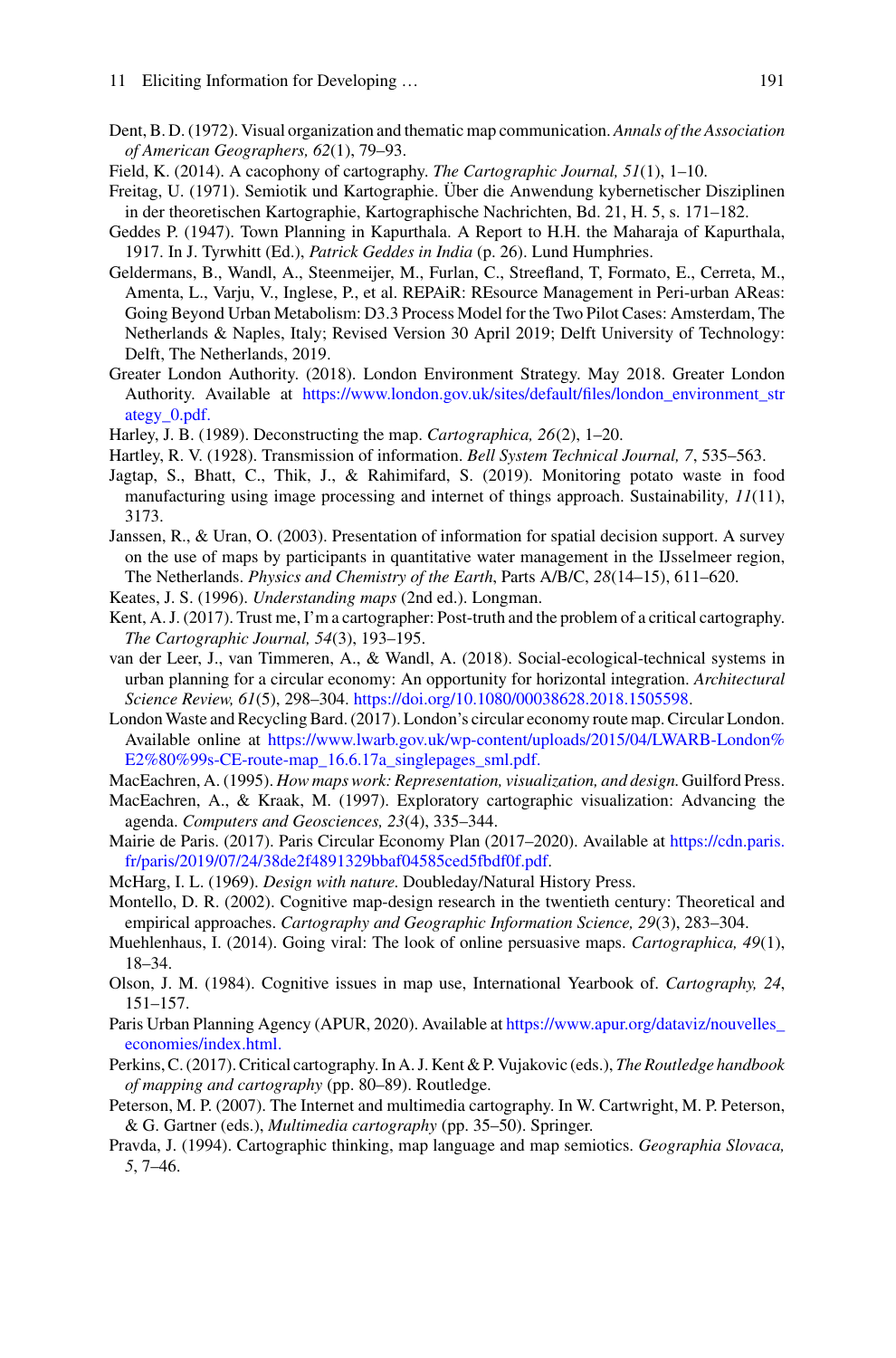- <span id="page-17-5"></span>Dent, B. D. (1972). Visual organization and thematic map communication. *Annals of the Association of American Geographers, 62*(1), 79–93.
- <span id="page-17-17"></span>Field, K. (2014). A cacophony of cartography. *The Cartographic Journal, 51*(1), 1–10.
- <span id="page-17-11"></span>Freitag, U. (1971). Semiotik und Kartographie. Über die Anwendung kybernetischer Disziplinen in der theoretischen Kartographie, Kartographische Nachrichten, Bd. 21, H. 5, s. 171–182.
- <span id="page-17-2"></span>Geddes P. (1947). Town Planning in Kapurthala. A Report to H.H. the Maharaja of Kapurthala, 1917. In J. Tyrwhitt (Ed.), *Patrick Geddes in India* (p. 26). Lund Humphries.
- <span id="page-17-23"></span>Geldermans, B., Wandl, A., Steenmeijer, M., Furlan, C., Streefland, T, Formato, E., Cerreta, M., Amenta, L., Varju, V., Inglese, P., et al. REPAiR: REsource Management in Peri-urban AReas: Going Beyond Urban Metabolism: D3.3 Process Model for the Two Pilot Cases: Amsterdam, The Netherlands & Naples, Italy; Revised Version 30 April 2019; Delft University of Technology: Delft, The Netherlands, 2019.
- <span id="page-17-20"></span>Greater London Authority. (2018). London Environment Strategy. May 2018. Greater London Authority. Available at [https://www.london.gov.uk/sites/default/files/london\\_environment\\_str](https://www.london.gov.uk/sites/default/files/london_environment_strategy_0.pdf.) ategy\_0.pdf.
- <span id="page-17-16"></span>Harley, J. B. (1989). Deconstructing the map. *Cartographica, 26*(2), 1–20.
- <span id="page-17-4"></span>Hartley, R. V. (1928). Transmission of information. *Bell System Technical Journal, 7*, 535–563.
- <span id="page-17-22"></span>Jagtap, S., Bhatt, C., Thik, J., & Rahimifard, S. (2019). Monitoring potato waste in food manufacturing using image processing and internet of things approach. Sustainability*, 11*(11), 3173.
- <span id="page-17-21"></span>Janssen, R., & Uran, O. (2003). Presentation of information for spatial decision support. A survey on the use of maps by participants in quantitative water management in the IJsselmeer region, The Netherlands. *Physics and Chemistry of the Earth*, Parts A/B/C, *28*(14–15), 611–620.
- <span id="page-17-9"></span>Keates, J. S. (1996). *Understanding maps* (2nd ed.). Longman.
- <span id="page-17-15"></span>Kent, A. J. (2017). Trust me, I'm a cartographer: Post-truth and the problem of a critical cartography. *The Cartographic Journal, 54*(3), 193–195.
- <span id="page-17-1"></span>van der Leer, J., van Timmeren, A., & Wandl, A. (2018). Social-ecological-technical systems in urban planning for a circular economy: An opportunity for horizontal integration. *Architectural Science Review, 61*(5), 298–304. [https://doi.org/10.1080/00038628.2018.1505598.](https://doi.org/10.1080/00038628.2018.1505598)
- <span id="page-17-19"></span>London Waste and Recycling Bard. (2017). London's circular economy route map. Circular London. Available online at [https://www.lwarb.gov.uk/wp-content/uploads/2015/04/LWARB-London%](https://www.lwarb.gov.uk/wp-content/uploads/2015/04/LWARB-London%25E2%2580%2599s-CE-route-map_16.6.17a_singlepages_sml.pdf.) E2%80%99s-CE-route-map\_16.6.17a\_singlepages\_sml.pdf.
- <span id="page-17-7"></span>MacEachren, A. (1995). *How maps work: Representation, visualization, and design*. Guilford Press.
- MacEachren, A., & Kraak, M. (1997). Exploratory cartographic visualization: Advancing the agenda. *Computers and Geosciences, 23*(4), 335–344.
- <span id="page-17-0"></span>[Mairie de Paris. \(2017\). Paris Circular Economy Plan \(2017–2020\). Available at](https://cdn.paris.fr/paris/2019/07/24/38de2f4891329bbaf04585ced5fbdf0f.pdf) https://cdn.paris. fr/paris/2019/07/24/38de2f4891329bbaf04585ced5fbdf0f.pdf.
- <span id="page-17-3"></span>McHarg, I. L. (1969). *Design with nature*. Doubleday/Natural History Press.
- <span id="page-17-6"></span>Montello, D. R. (2002). Cognitive map-design research in the twentieth century: Theoretical and empirical approaches. *Cartography and Geographic Information Science, 29*(3), 283–304.
- <span id="page-17-14"></span>Muehlenhaus, I. (2014). Going viral: The look of online persuasive maps. *Cartographica, 49*(1), 18–34.
- <span id="page-17-8"></span>Olson, J. M. (1984). Cognitive issues in map use, International Yearbook of. *Cartography, 24*, 151–157.
- <span id="page-17-18"></span>P[aris Urban Planning Agency \(APUR, 2020\). Available at](https://www.apur.org/dataviz/nouvelles_economies/index.html.) https://www.apur.org/dataviz/nouvelles\_ economies/index.html.
- <span id="page-17-10"></span>Perkins, C. (2017). Critical cartography. In A. J. Kent & P. Vujakovic (eds.), *The Routledge handbook of mapping and cartography* (pp. 80–89). Routledge.
- <span id="page-17-13"></span>Peterson, M. P. (2007). The Internet and multimedia cartography. In W. Cartwright, M. P. Peterson, & G. Gartner (eds.), *Multimedia cartography* (pp. 35–50). Springer.
- <span id="page-17-12"></span>Pravda, J. (1994). Cartographic thinking, map language and map semiotics. *Geographia Slovaca, 5*, 7–46.